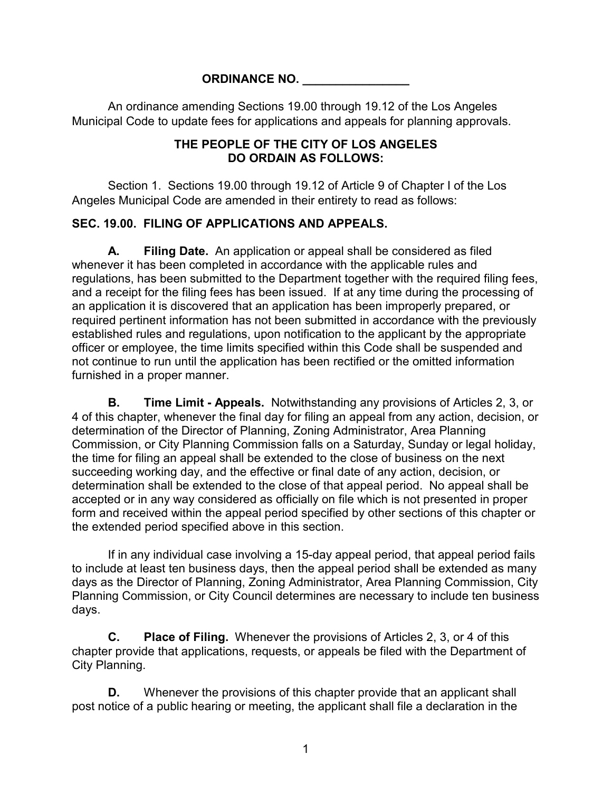#### **ORDINANCE NO. \_\_\_\_\_\_\_\_\_\_\_\_\_\_\_\_**

An ordinance amending Sections 19.00 through 19.12 of the Los Angeles Municipal Code to update fees for applications and appeals for planning approvals.

#### **THE PEOPLE OF THE CITY OF LOS ANGELES DO ORDAIN AS FOLLOWS:**

Section 1. Sections 19.00 through 19.12 of Article 9 of Chapter I of the Los Angeles Municipal Code are amended in their entirety to read as follows:

### **SEC. 19.00. FILING OF APPLICATIONS AND APPEALS.**

**A. Filing Date.** An application or appeal shall be considered as filed whenever it has been completed in accordance with the applicable rules and regulations, has been submitted to the Department together with the required filing fees, and a receipt for the filing fees has been issued. If at any time during the processing of an application it is discovered that an application has been improperly prepared, or required pertinent information has not been submitted in accordance with the previously established rules and regulations, upon notification to the applicant by the appropriate officer or employee, the time limits specified within this Code shall be suspended and not continue to run until the application has been rectified or the omitted information furnished in a proper manner.

**B. Time Limit - Appeals.** Notwithstanding any provisions of Articles 2, 3, or 4 of this chapter, whenever the final day for filing an appeal from any action, decision, or determination of the Director of Planning, Zoning Administrator, Area Planning Commission, or City Planning Commission falls on a Saturday, Sunday or legal holiday, the time for filing an appeal shall be extended to the close of business on the next succeeding working day, and the effective or final date of any action, decision, or determination shall be extended to the close of that appeal period. No appeal shall be accepted or in any way considered as officially on file which is not presented in proper form and received within the appeal period specified by other sections of this chapter or the extended period specified above in this section.

If in any individual case involving a 15-day appeal period, that appeal period fails to include at least ten business days, then the appeal period shall be extended as many days as the Director of Planning, Zoning Administrator, Area Planning Commission, City Planning Commission, or City Council determines are necessary to include ten business days.

**C. Place of Filing.** Whenever the provisions of Articles 2, 3, or 4 of this chapter provide that applications, requests, or appeals be filed with the Department of City Planning.

**D.** Whenever the provisions of this chapter provide that an applicant shall post notice of a public hearing or meeting, the applicant shall file a declaration in the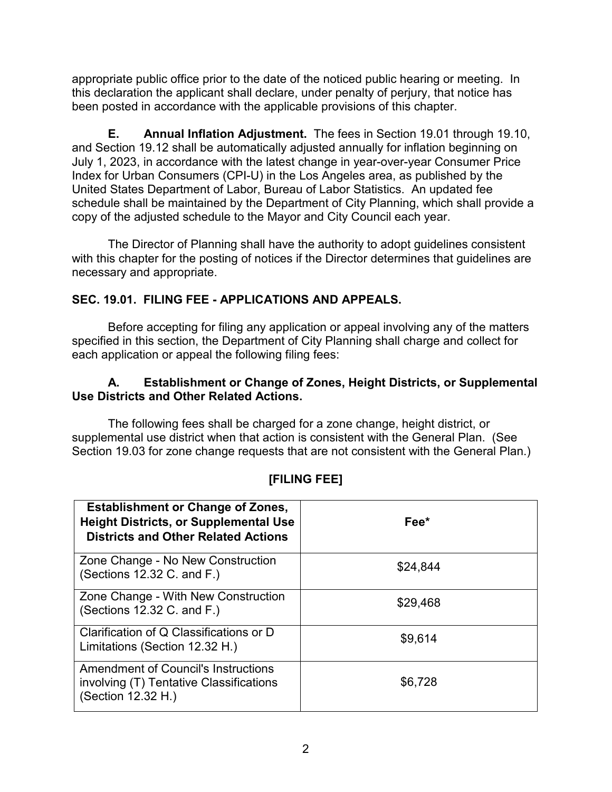appropriate public office prior to the date of the noticed public hearing or meeting. In this declaration the applicant shall declare, under penalty of perjury, that notice has been posted in accordance with the applicable provisions of this chapter.

**E. Annual Inflation Adjustment.** The fees in Section 19.01 through 19.10, and Section 19.12 shall be automatically adjusted annually for inflation beginning on July 1, 2023, in accordance with the latest change in year-over-year Consumer Price Index for Urban Consumers (CPI-U) in the Los Angeles area, as published by the United States Department of Labor, Bureau of Labor Statistics. An updated fee schedule shall be maintained by the Department of City Planning, which shall provide a copy of the adjusted schedule to the Mayor and City Council each year.

The Director of Planning shall have the authority to adopt guidelines consistent with this chapter for the posting of notices if the Director determines that guidelines are necessary and appropriate.

# **SEC. 19.01. FILING FEE - APPLICATIONS AND APPEALS.**

Before accepting for filing any application or appeal involving any of the matters specified in this section, the Department of City Planning shall charge and collect for each application or appeal the following filing fees:

#### **A. Establishment or Change of Zones, Height Districts, or Supplemental Use Districts and Other Related Actions.**

The following fees shall be charged for a zone change, height district, or supplemental use district when that action is consistent with the General Plan. (See Section 19.03 for zone change requests that are not consistent with the General Plan.)

| <b>Establishment or Change of Zones,</b><br><b>Height Districts, or Supplemental Use</b><br><b>Districts and Other Related Actions</b> | Fee*     |
|----------------------------------------------------------------------------------------------------------------------------------------|----------|
| Zone Change - No New Construction<br>(Sections $12.32$ C. and F.)                                                                      | \$24,844 |
| Zone Change - With New Construction<br>(Sections $12.32$ C. and F.)                                                                    | \$29,468 |
| Clarification of Q Classifications or D<br>Limitations (Section 12.32 H.)                                                              | \$9,614  |
| <b>Amendment of Council's Instructions</b><br>involving (T) Tentative Classifications<br>(Section 12.32 H.)                            | \$6,728  |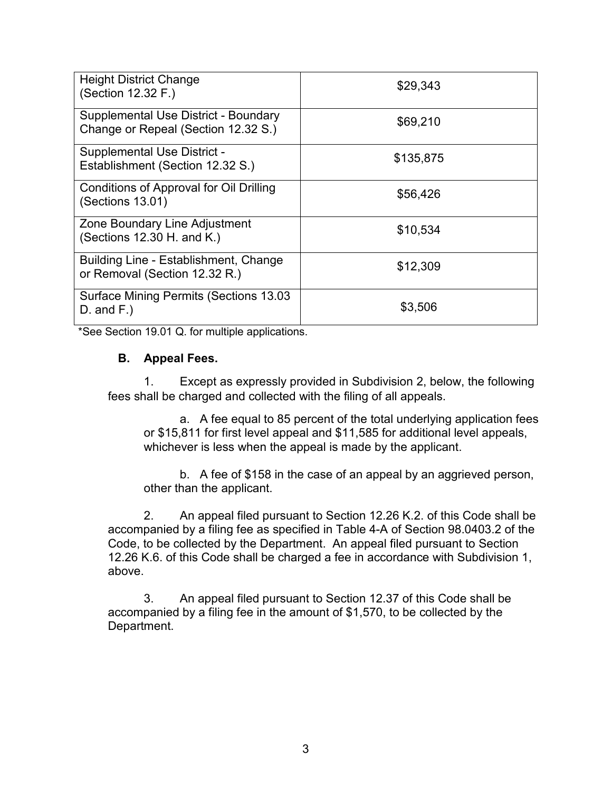| <b>Height District Change</b><br>(Section 12.32 F.)                         | \$29,343  |
|-----------------------------------------------------------------------------|-----------|
| Supplemental Use District - Boundary<br>Change or Repeal (Section 12.32 S.) | \$69,210  |
| <b>Supplemental Use District -</b><br>Establishment (Section 12.32 S.)      | \$135,875 |
| Conditions of Approval for Oil Drilling<br>(Sections 13.01)                 | \$56,426  |
| Zone Boundary Line Adjustment<br>(Sections 12.30 H. and K.)                 | \$10,534  |
| Building Line - Establishment, Change<br>or Removal (Section 12.32 R.)      | \$12,309  |
| <b>Surface Mining Permits (Sections 13.03</b><br>$D.$ and $F.$ )            | \$3,506   |

\*See Section 19.01 Q. for multiple applications.

#### **B. Appeal Fees.**

1. Except as expressly provided in Subdivision 2, below, the following fees shall be charged and collected with the filing of all appeals.

a. A fee equal to 85 percent of the total underlying application fees or \$15,811 for first level appeal and \$11,585 for additional level appeals, whichever is less when the appeal is made by the applicant.

b. A fee of \$158 in the case of an appeal by an aggrieved person, other than the applicant.

2. An appeal filed pursuant to Section 12.26 K.2. of this Code shall be accompanied by a filing fee as specified in Table 4-A of Section 98.0403.2 of the Code, to be collected by the Department. An appeal filed pursuant to Section 12.26 K.6. of this Code shall be charged a fee in accordance with Subdivision 1, above.

3. An appeal filed pursuant to Section 12.37 of this Code shall be accompanied by a filing fee in the amount of \$1,570, to be collected by the Department.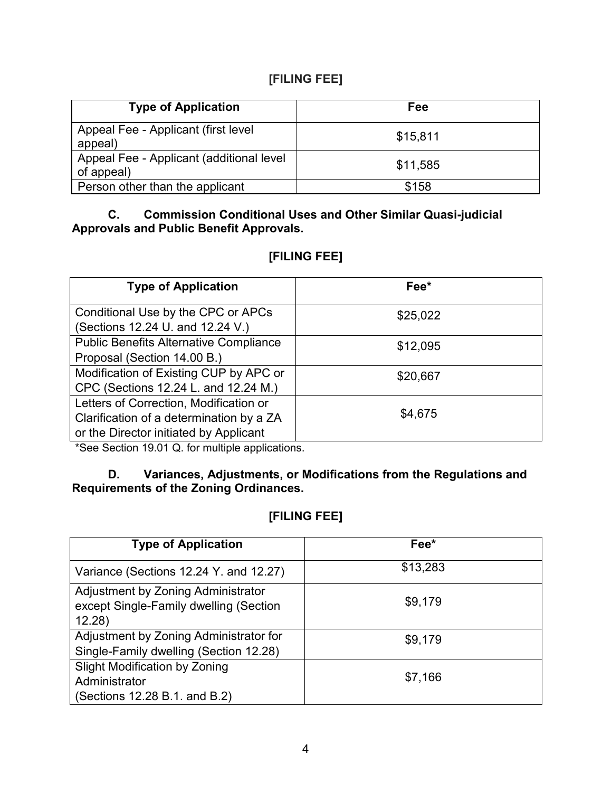# **[FILING FEE]**

| <b>Type of Application</b>                             | <b>Fee</b> |
|--------------------------------------------------------|------------|
| Appeal Fee - Applicant (first level)<br>appeal)        | \$15,811   |
| Appeal Fee - Applicant (additional level<br>of appeal) | \$11,585   |
| Person other than the applicant                        | \$158      |

#### **C. Commission Conditional Uses and Other Similar Quasi-judicial Approvals and Public Benefit Approvals.**

# **[FILING FEE]**

| <b>Type of Application</b>                                                                                                   | Fee*     |
|------------------------------------------------------------------------------------------------------------------------------|----------|
| Conditional Use by the CPC or APCs<br>(Sections 12.24 U. and 12.24 V.)                                                       | \$25,022 |
| <b>Public Benefits Alternative Compliance</b><br>Proposal (Section 14.00 B.)                                                 | \$12,095 |
| Modification of Existing CUP by APC or<br>CPC (Sections 12.24 L. and 12.24 M.)                                               | \$20,667 |
| Letters of Correction, Modification or<br>Clarification of a determination by a ZA<br>or the Director initiated by Applicant | \$4,675  |

\*See Section 19.01 Q. for multiple applications.

### **D. Variances, Adjustments, or Modifications from the Regulations and Requirements of the Zoning Ordinances.**

| <b>Type of Application</b>                                                             | Fee*     |
|----------------------------------------------------------------------------------------|----------|
| Variance (Sections 12.24 Y. and 12.27)                                                 | \$13,283 |
| Adjustment by Zoning Administrator<br>except Single-Family dwelling (Section<br>12.28) | \$9,179  |
| Adjustment by Zoning Administrator for<br>Single-Family dwelling (Section 12.28)       | \$9,179  |
| <b>Slight Modification by Zoning</b><br>Administrator<br>(Sections 12.28 B.1. and B.2) | \$7,166  |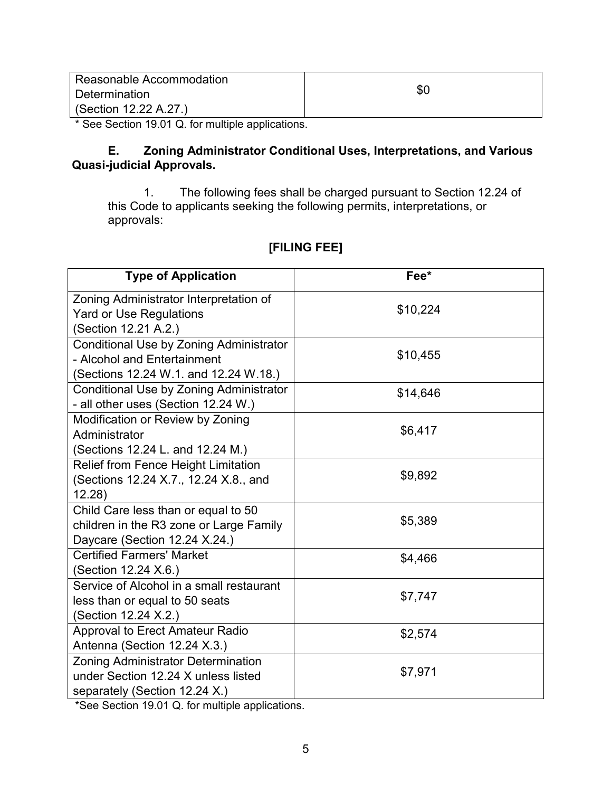| Reasonable Accommodation |     |
|--------------------------|-----|
| Determination            | \$C |
| (Section 12.22 A.27.)    |     |

\* See Section 19.01 Q. for multiple applications.

#### **E. Zoning Administrator Conditional Uses, Interpretations, and Various Quasi-judicial Approvals.**

 1. The following fees shall be charged pursuant to Section 12.24 of this Code to applicants seeking the following permits, interpretations, or approvals:

# **[FILING FEE]**

| <b>Type of Application</b>                                                                                        | Fee*     |
|-------------------------------------------------------------------------------------------------------------------|----------|
| Zoning Administrator Interpretation of<br><b>Yard or Use Regulations</b><br>(Section 12.21 A.2.)                  | \$10,224 |
| Conditional Use by Zoning Administrator<br>- Alcohol and Entertainment<br>(Sections 12.24 W.1. and 12.24 W.18.)   | \$10,455 |
| Conditional Use by Zoning Administrator<br>- all other uses (Section 12.24 W.)                                    | \$14,646 |
| Modification or Review by Zoning<br>Administrator<br>(Sections 12.24 L. and 12.24 M.)                             | \$6,417  |
| <b>Relief from Fence Height Limitation</b><br>(Sections 12.24 X.7., 12.24 X.8., and<br>12.28)                     | \$9,892  |
| Child Care less than or equal to 50<br>children in the R3 zone or Large Family<br>Daycare (Section 12.24 X.24.)   | \$5,389  |
| <b>Certified Farmers' Market</b><br>(Section 12.24 X.6.)                                                          | \$4,466  |
| Service of Alcohol in a small restaurant<br>less than or equal to 50 seats<br>(Section 12.24 X.2.)                | \$7,747  |
| <b>Approval to Erect Amateur Radio</b><br>Antenna (Section 12.24 X.3.)                                            | \$2,574  |
| <b>Zoning Administrator Determination</b><br>under Section 12.24 X unless listed<br>separately (Section 12.24 X.) | \$7,971  |

\*See Section 19.01 Q. for multiple applications.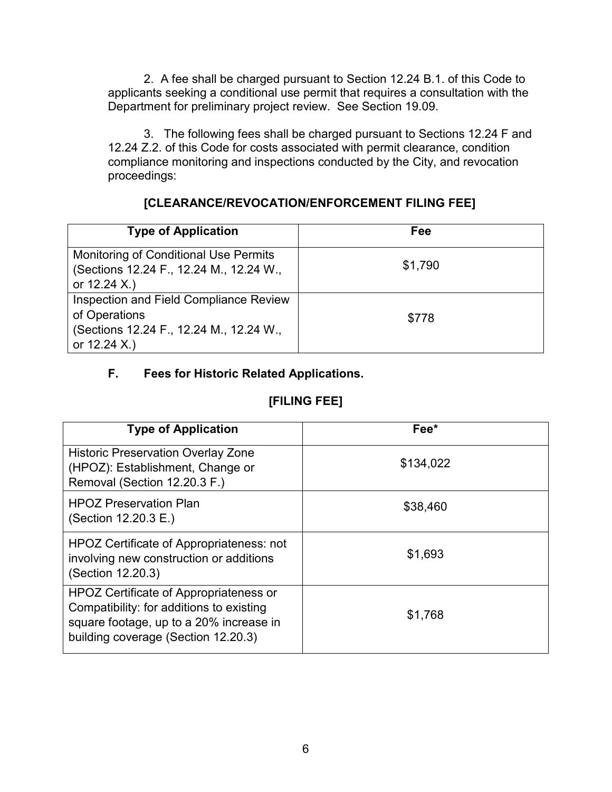2. A fee shall be charged pursuant to Section 12.24 B.1. of this Code to applicants seeking a conditional use permit that requires a consultation with the Department for preliminary project review. See Section 19.09.

3. The following fees shall be charged pursuant to Sections 12.24 F and 12.24 Z.2. of this Code for costs associated with permit clearance, condition compliance monitoring and inspections conducted by the City, and revocation proceedings:

## **[CLEARANCE/REVOCATION/ENFORCEMENT FILING FEE]**

| <b>Type of Application</b>                                                                                           | Fee     |
|----------------------------------------------------------------------------------------------------------------------|---------|
| <b>Monitoring of Conditional Use Permits</b><br>(Sections 12.24 F., 12.24 M., 12.24 W.,<br>or $12.24 X.)$            | \$1,790 |
| Inspection and Field Compliance Review<br>of Operations<br>(Sections 12.24 F., 12.24 M., 12.24 W.,<br>or $12.24 X.)$ | \$778   |

# **F. Fees for Historic Related Applications.**

| <b>Type of Application</b>                                                                                                                                           | Fee*      |
|----------------------------------------------------------------------------------------------------------------------------------------------------------------------|-----------|
| <b>Historic Preservation Overlay Zone</b><br>(HPOZ): Establishment, Change or<br>Removal (Section 12.20.3 F.)                                                        | \$134,022 |
| <b>HPOZ Preservation Plan</b><br>(Section 12.20.3 E.)                                                                                                                | \$38,460  |
| <b>HPOZ Certificate of Appropriateness: not</b><br>involving new construction or additions<br>(Section 12.20.3)                                                      | \$1,693   |
| HPOZ Certificate of Appropriateness or<br>Compatibility: for additions to existing<br>square footage, up to a 20% increase in<br>building coverage (Section 12.20.3) | \$1,768   |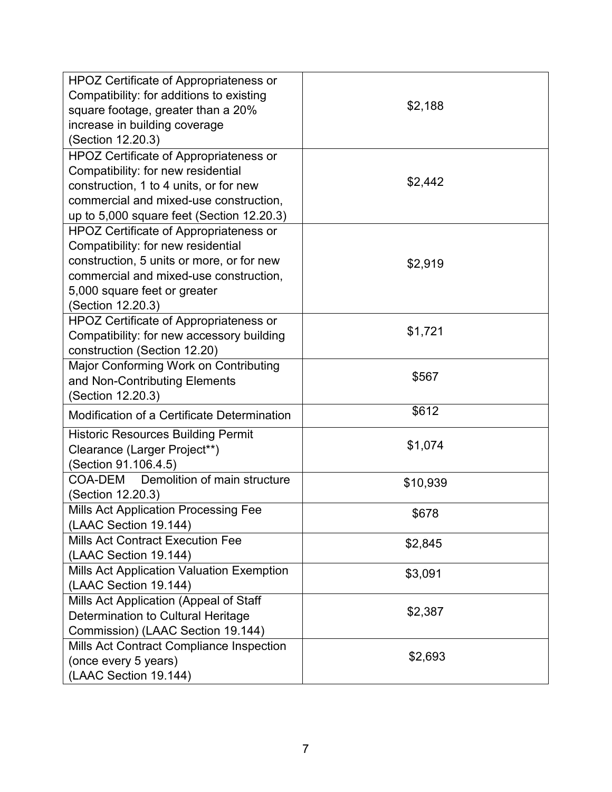| HPOZ Certificate of Appropriateness or           |          |
|--------------------------------------------------|----------|
| Compatibility: for additions to existing         | \$2,188  |
| square footage, greater than a 20%               |          |
| increase in building coverage                    |          |
| (Section 12.20.3)                                |          |
| <b>HPOZ Certificate of Appropriateness or</b>    |          |
| Compatibility: for new residential               |          |
| construction, 1 to 4 units, or for new           | \$2,442  |
| commercial and mixed-use construction,           |          |
| up to $5,000$ square feet (Section $12.20.3$ )   |          |
| HPOZ Certificate of Appropriateness or           |          |
| Compatibility: for new residential               |          |
| construction, 5 units or more, or for new        | \$2,919  |
| commercial and mixed-use construction,           |          |
| 5,000 square feet or greater                     |          |
| (Section 12.20.3)                                |          |
| HPOZ Certificate of Appropriateness or           |          |
| Compatibility: for new accessory building        | \$1,721  |
| construction (Section 12.20)                     |          |
| Major Conforming Work on Contributing            |          |
| and Non-Contributing Elements                    | \$567    |
| (Section 12.20.3)                                |          |
| Modification of a Certificate Determination      | \$612    |
| <b>Historic Resources Building Permit</b>        |          |
| Clearance (Larger Project**)                     | \$1,074  |
| (Section 91.106.4.5)                             |          |
| Demolition of main structure<br>COA-DEM          | \$10,939 |
| (Section 12.20.3)                                |          |
| <b>Mills Act Application Processing Fee</b>      | \$678    |
| (LAAC Section 19.144)                            |          |
| <b>Mills Act Contract Execution Fee</b>          | \$2,845  |
| (LAAC Section 19.144)                            |          |
| <b>Mills Act Application Valuation Exemption</b> | \$3,091  |
| (LAAC Section 19.144)                            |          |
| Mills Act Application (Appeal of Staff           |          |
| Determination to Cultural Heritage               | \$2,387  |
| Commission) (LAAC Section 19.144)                |          |
| Mills Act Contract Compliance Inspection         |          |
| (once every 5 years)                             | \$2,693  |
| (LAAC Section 19.144)                            |          |
|                                                  |          |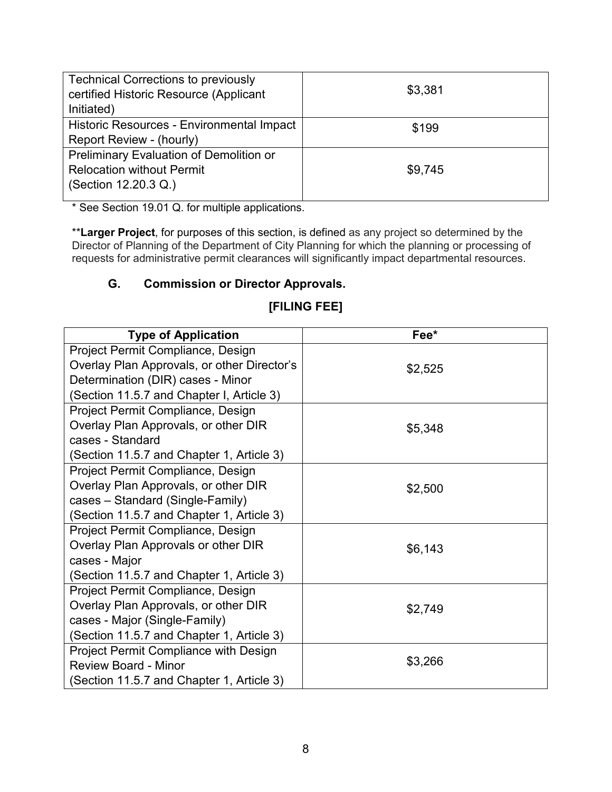| <b>Technical Corrections to previously</b><br>certified Historic Resource (Applicant | \$3,381 |
|--------------------------------------------------------------------------------------|---------|
| Initiated)                                                                           |         |
| Historic Resources - Environmental Impact                                            | \$199   |
| Report Review - (hourly)                                                             |         |
| Preliminary Evaluation of Demolition or                                              |         |
| <b>Relocation without Permit</b>                                                     | \$9,745 |
| (Section 12.20.3 Q.)                                                                 |         |
|                                                                                      |         |

\* See Section 19.01 Q. for multiple applications.

\*\***Larger Project**, for purposes of this section, is defined as any project so determined by the Director of Planning of the Department of City Planning for which the planning or processing of requests for administrative permit clearances will significantly impact departmental resources.

## **G. Commission or Director Approvals.**

| <b>Type of Application</b>                   | Fee*    |
|----------------------------------------------|---------|
| Project Permit Compliance, Design            |         |
| Overlay Plan Approvals, or other Director's  | \$2,525 |
| Determination (DIR) cases - Minor            |         |
| (Section 11.5.7 and Chapter I, Article 3)    |         |
| Project Permit Compliance, Design            |         |
| Overlay Plan Approvals, or other DIR         | \$5,348 |
| cases - Standard                             |         |
| (Section 11.5.7 and Chapter 1, Article 3)    |         |
| Project Permit Compliance, Design            |         |
| Overlay Plan Approvals, or other DIR         | \$2,500 |
| cases – Standard (Single-Family)             |         |
| (Section 11.5.7 and Chapter 1, Article 3)    |         |
| Project Permit Compliance, Design            |         |
| Overlay Plan Approvals or other DIR          | \$6,143 |
| cases - Major                                |         |
| (Section 11.5.7 and Chapter 1, Article 3)    |         |
| Project Permit Compliance, Design            |         |
| Overlay Plan Approvals, or other DIR         | \$2,749 |
| cases - Major (Single-Family)                |         |
| (Section 11.5.7 and Chapter 1, Article 3)    |         |
| <b>Project Permit Compliance with Design</b> |         |
| <b>Review Board - Minor</b>                  | \$3,266 |
| (Section 11.5.7 and Chapter 1, Article 3)    |         |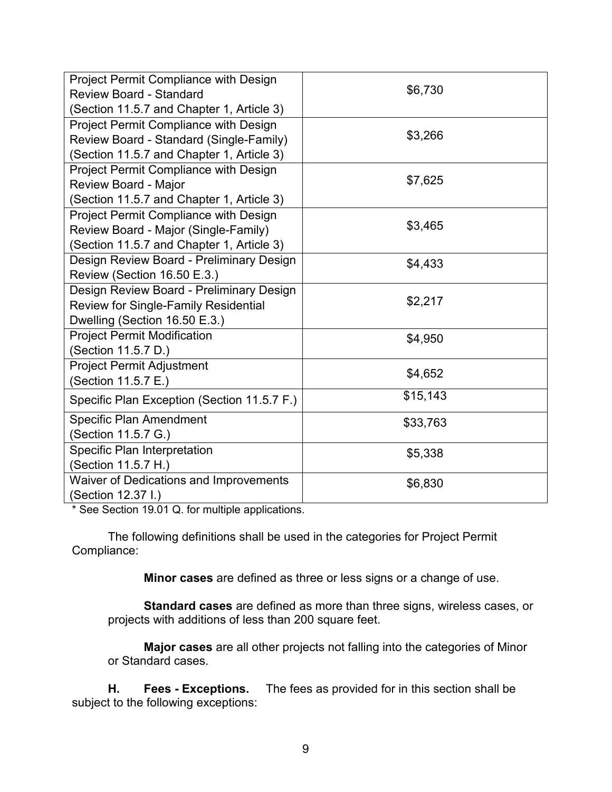| Project Permit Compliance with Design         |          |
|-----------------------------------------------|----------|
| <b>Review Board - Standard</b>                | \$6,730  |
| (Section 11.5.7 and Chapter 1, Article 3)     |          |
| Project Permit Compliance with Design         |          |
| Review Board - Standard (Single-Family)       | \$3,266  |
| (Section 11.5.7 and Chapter 1, Article 3)     |          |
| Project Permit Compliance with Design         |          |
| Review Board - Major                          | \$7,625  |
| (Section 11.5.7 and Chapter 1, Article 3)     |          |
| Project Permit Compliance with Design         |          |
| Review Board - Major (Single-Family)          | \$3,465  |
| (Section 11.5.7 and Chapter 1, Article 3)     |          |
| Design Review Board - Preliminary Design      | \$4,433  |
| Review (Section 16.50 E.3.)                   |          |
| Design Review Board - Preliminary Design      |          |
| <b>Review for Single-Family Residential</b>   | \$2,217  |
| Dwelling (Section 16.50 E.3.)                 |          |
| <b>Project Permit Modification</b>            | \$4,950  |
| (Section 11.5.7 D.)                           |          |
| <b>Project Permit Adjustment</b>              | \$4,652  |
| (Section 11.5.7 E.)                           |          |
| Specific Plan Exception (Section 11.5.7 F.)   | \$15,143 |
| <b>Specific Plan Amendment</b>                | \$33,763 |
| (Section 11.5.7 G.)                           |          |
| Specific Plan Interpretation                  | \$5,338  |
| (Section 11.5.7 H.)                           |          |
| <b>Waiver of Dedications and Improvements</b> | \$6,830  |
| (Section 12.37 I.)                            |          |
|                                               |          |

\* See Section 19.01 Q. for multiple applications.

The following definitions shall be used in the categories for Project Permit Compliance:

**Minor cases** are defined as three or less signs or a change of use.

**Standard cases** are defined as more than three signs, wireless cases, or projects with additions of less than 200 square feet.

**Major cases** are all other projects not falling into the categories of Minor or Standard cases.

**H. Fees - Exceptions.** The fees as provided for in this section shall be subject to the following exceptions: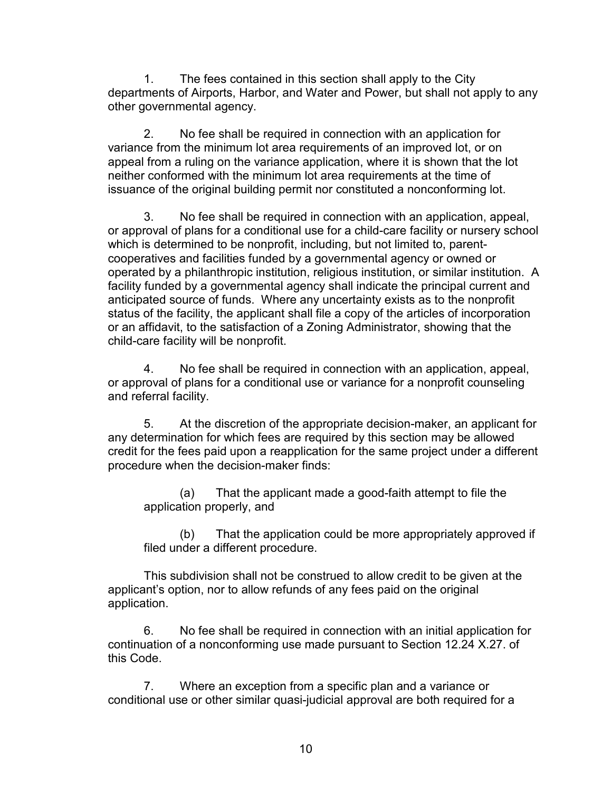1. The fees contained in this section shall apply to the City departments of Airports, Harbor, and Water and Power, but shall not apply to any other governmental agency.

 2. No fee shall be required in connection with an application for variance from the minimum lot area requirements of an improved lot, or on appeal from a ruling on the variance application, where it is shown that the lot neither conformed with the minimum lot area requirements at the time of issuance of the original building permit nor constituted a nonconforming lot.

3. No fee shall be required in connection with an application, appeal, or approval of plans for a conditional use for a child-care facility or nursery school which is determined to be nonprofit, including, but not limited to, parentcooperatives and facilities funded by a governmental agency or owned or operated by a philanthropic institution, religious institution, or similar institution. A facility funded by a governmental agency shall indicate the principal current and anticipated source of funds. Where any uncertainty exists as to the nonprofit status of the facility, the applicant shall file a copy of the articles of incorporation or an affidavit, to the satisfaction of a Zoning Administrator, showing that the child-care facility will be nonprofit.

4. No fee shall be required in connection with an application, appeal, or approval of plans for a conditional use or variance for a nonprofit counseling and referral facility.

 5. At the discretion of the appropriate decision-maker, an applicant for any determination for which fees are required by this section may be allowed credit for the fees paid upon a reapplication for the same project under a different procedure when the decision-maker finds:

(a) That the applicant made a good-faith attempt to file the application properly, and

(b) That the application could be more appropriately approved if filed under a different procedure.

This subdivision shall not be construed to allow credit to be given at the applicant's option, nor to allow refunds of any fees paid on the original application.

6. No fee shall be required in connection with an initial application for continuation of a nonconforming use made pursuant to Section 12.24 X.27. of this Code.

7. Where an exception from a specific plan and a variance or conditional use or other similar quasi-judicial approval are both required for a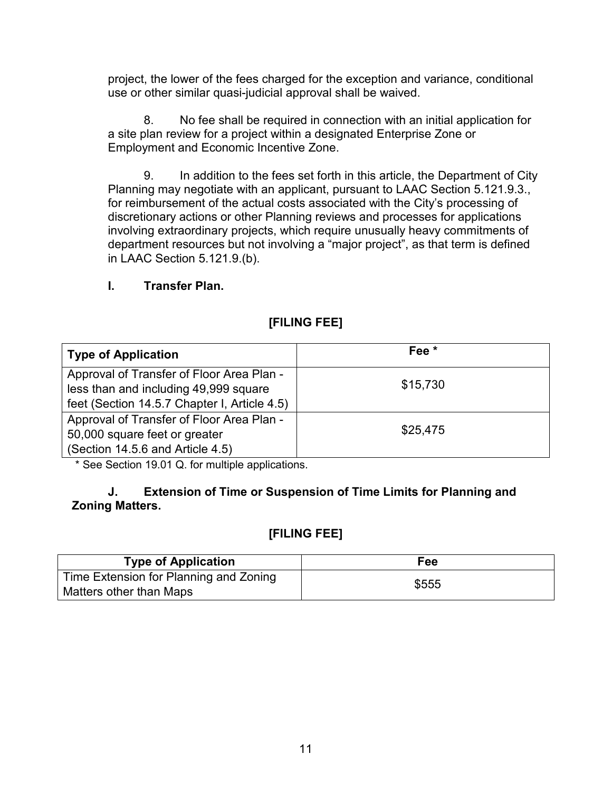project, the lower of the fees charged for the exception and variance, conditional use or other similar quasi-judicial approval shall be waived.

8. No fee shall be required in connection with an initial application for a site plan review for a project within a designated Enterprise Zone or Employment and Economic Incentive Zone.

9. In addition to the fees set forth in this article, the Department of City Planning may negotiate with an applicant, pursuant to LAAC Section 5.121.9.3., for reimbursement of the actual costs associated with the City's processing of discretionary actions or other Planning reviews and processes for applications involving extraordinary projects, which require unusually heavy commitments of department resources but not involving a "major project", as that term is defined in LAAC Section 5.121.9.(b).

#### **I. Transfer Plan.**

## **[FILING FEE]**

| <b>Type of Application</b>                   | Fee <sup>*</sup> |
|----------------------------------------------|------------------|
| Approval of Transfer of Floor Area Plan -    |                  |
| less than and including 49,999 square        | \$15,730         |
| feet (Section 14.5.7 Chapter I, Article 4.5) |                  |
| Approval of Transfer of Floor Area Plan -    |                  |
| 50,000 square feet or greater                | \$25,475         |
| (Section 14.5.6 and Article 4.5)             |                  |

\* See Section 19.01 Q. for multiple applications.

#### **J. Extension of Time or Suspension of Time Limits for Planning and Zoning Matters.**

| <b>Type of Application</b>             | Fee   |
|----------------------------------------|-------|
| Time Extension for Planning and Zoning | \$555 |
| Matters other than Maps                |       |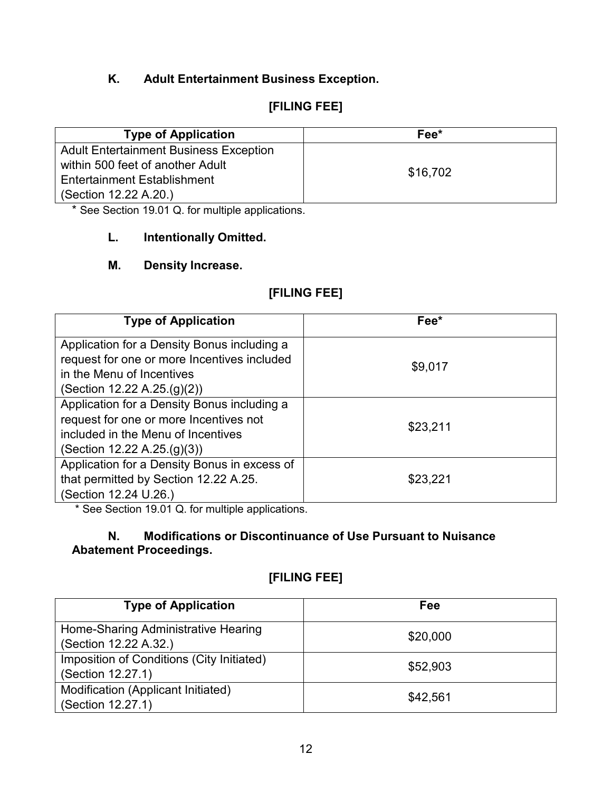# **K. Adult Entertainment Business Exception.**

# **[FILING FEE]**

| <b>Type of Application</b>                    | Fee*     |
|-----------------------------------------------|----------|
| <b>Adult Entertainment Business Exception</b> |          |
| within 500 feet of another Adult              |          |
| <b>Entertainment Establishment</b>            | \$16,702 |
| (Section 12.22 A.20.)                         |          |

\* See Section 19.01 Q. for multiple applications.

### **L. Intentionally Omitted.**

### **M. Density Increase.**

# **[FILING FEE]**

| <b>Type of Application</b>                                                                                                                                    | Fee*     |
|---------------------------------------------------------------------------------------------------------------------------------------------------------------|----------|
| Application for a Density Bonus including a<br>request for one or more Incentives included<br>in the Menu of Incentives<br>(Section 12.22 A.25 $(g)(2)$ )     | \$9,017  |
| Application for a Density Bonus including a<br>request for one or more Incentives not<br>included in the Menu of Incentives<br>(Section 12.22 A.25 $(g)(3)$ ) | \$23,211 |
| Application for a Density Bonus in excess of<br>that permitted by Section 12.22 A.25.<br>(Section 12.24 U.26.)                                                | \$23,221 |

\* See Section 19.01 Q. for multiple applications.

### **N. Modifications or Discontinuance of Use Pursuant to Nuisance Abatement Proceedings.**

| <b>Type of Application</b>                                     | Fee      |
|----------------------------------------------------------------|----------|
| Home-Sharing Administrative Hearing<br>(Section 12.22 A.32.)   | \$20,000 |
| Imposition of Conditions (City Initiated)<br>(Section 12.27.1) | \$52,903 |
| Modification (Applicant Initiated)<br>(Section 12.27.1)        | \$42,561 |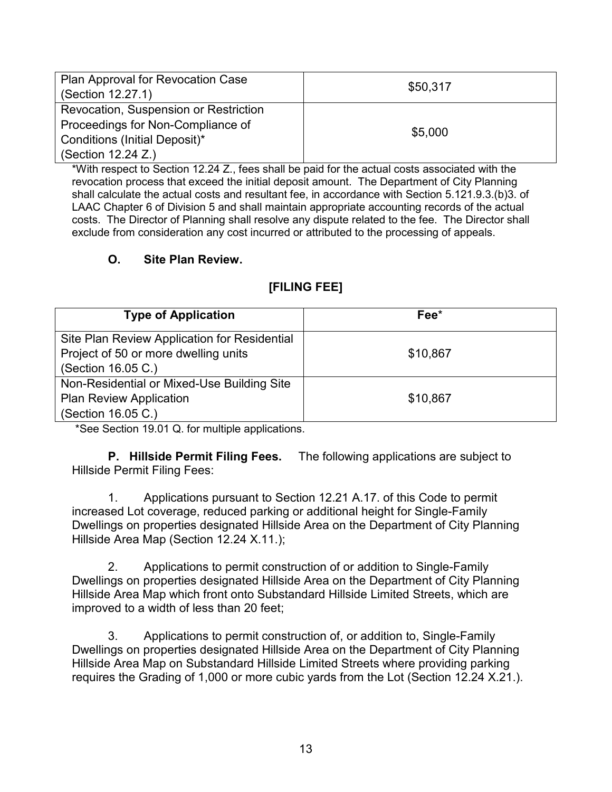| Plan Approval for Revocation Case<br>(Section 12.27.1)                                                                                    | \$50,317 |
|-------------------------------------------------------------------------------------------------------------------------------------------|----------|
| Revocation, Suspension or Restriction<br>Proceedings for Non-Compliance of<br>Conditions (Initial Deposit)*<br>$\vert$ (Section 12.24 Z.) | \$5,000  |

\*With respect to Section 12.24 Z., fees shall be paid for the actual costs associated with the revocation process that exceed the initial deposit amount. The Department of City Planning shall calculate the actual costs and resultant fee, in accordance with Section 5.121.9.3.(b)3. of LAAC Chapter 6 of Division 5 and shall maintain appropriate accounting records of the actual costs. The Director of Planning shall resolve any dispute related to the fee. The Director shall exclude from consideration any cost incurred or attributed to the processing of appeals.

## **O. Site Plan Review.**

# **[FILING FEE]**

| <b>Type of Application</b>                   | $\mathsf{Fee}^{\star}$ |
|----------------------------------------------|------------------------|
| Site Plan Review Application for Residential |                        |
| Project of 50 or more dwelling units         | \$10,867               |
| (Section 16.05 C.)                           |                        |
| Non-Residential or Mixed-Use Building Site   |                        |
| <b>Plan Review Application</b>               | \$10,867               |
| (Section 16.05 C.)                           |                        |

\*See Section 19.01 Q. for multiple applications.

**P. Hillside Permit Filing Fees.** The following applications are subject to Hillside Permit Filing Fees:

1. Applications pursuant to Section 12.21 A.17. of this Code to permit increased Lot coverage, reduced parking or additional height for Single-Family Dwellings on properties designated Hillside Area on the Department of City Planning Hillside Area Map (Section 12.24 X.11.);

2. Applications to permit construction of or addition to Single-Family Dwellings on properties designated Hillside Area on the Department of City Planning Hillside Area Map which front onto Substandard Hillside Limited Streets, which are improved to a width of less than 20 feet;

3. Applications to permit construction of, or addition to, Single-Family Dwellings on properties designated Hillside Area on the Department of City Planning Hillside Area Map on Substandard Hillside Limited Streets where providing parking requires the Grading of 1,000 or more cubic yards from the Lot (Section 12.24 X.21.).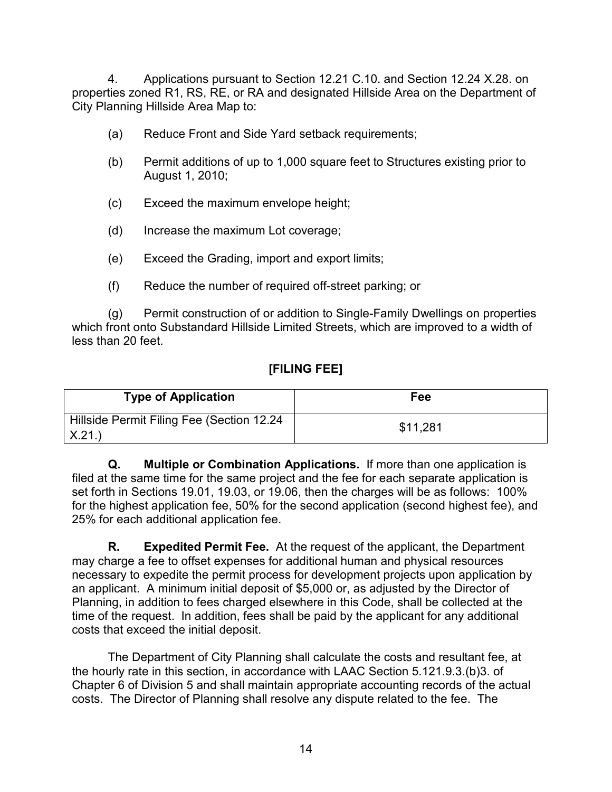4. Applications pursuant to Section 12.21 C.10. and Section 12.24 X.28. on properties zoned R1, RS, RE, or RA and designated Hillside Area on the Department of City Planning Hillside Area Map to:

- (a) Reduce Front and Side Yard setback requirements;
- (b) Permit additions of up to 1,000 square feet to Structures existing prior to August 1, 2010;
- (c) Exceed the maximum envelope height;
- (d) Increase the maximum Lot coverage;
- (e) Exceed the Grading, import and export limits;
- (f) Reduce the number of required off-street parking; or

(g) Permit construction of or addition to Single-Family Dwellings on properties which front onto Substandard Hillside Limited Streets, which are improved to a width of less than 20 feet.

## **[FILING FEE]**

| <b>Type of Application</b>                         | Fee      |
|----------------------------------------------------|----------|
| Hillside Permit Filing Fee (Section 12.24<br>X.21. | \$11,281 |

**Q. Multiple or Combination Applications.** If more than one application is filed at the same time for the same project and the fee for each separate application is set forth in Sections 19.01, 19.03, or 19.06, then the charges will be as follows: 100% for the highest application fee, 50% for the second application (second highest fee), and 25% for each additional application fee.

 **R. Expedited Permit Fee.** At the request of the applicant, the Department may charge a fee to offset expenses for additional human and physical resources necessary to expedite the permit process for development projects upon application by an applicant. A minimum initial deposit of \$5,000 or, as adjusted by the Director of Planning, in addition to fees charged elsewhere in this Code, shall be collected at the time of the request. In addition, fees shall be paid by the applicant for any additional costs that exceed the initial deposit.

 The Department of City Planning shall calculate the costs and resultant fee, at the hourly rate in this section, in accordance with LAAC Section 5.121.9.3.(b)3. of Chapter 6 of Division 5 and shall maintain appropriate accounting records of the actual costs. The Director of Planning shall resolve any dispute related to the fee. The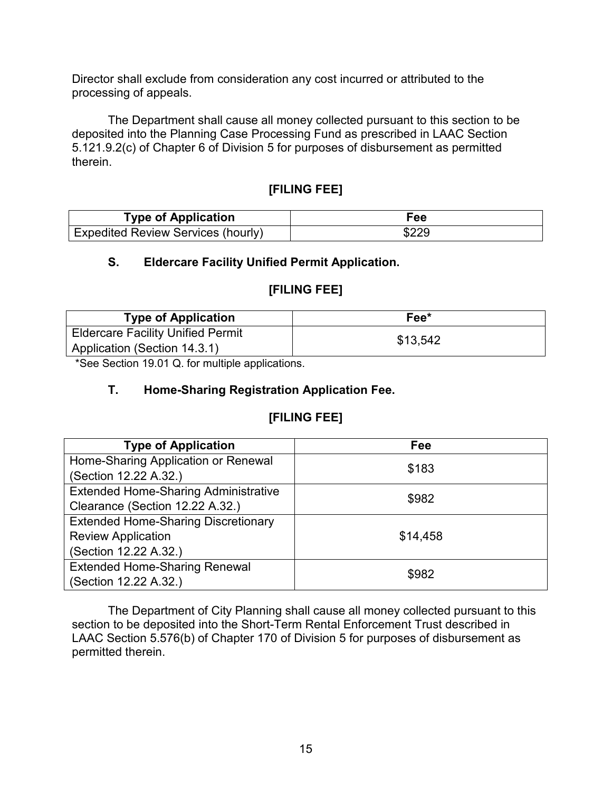Director shall exclude from consideration any cost incurred or attributed to the processing of appeals.

 The Department shall cause all money collected pursuant to this section to be deposited into the Planning Case Processing Fund as prescribed in LAAC Section 5.121.9.2(c) of Chapter 6 of Division 5 for purposes of disbursement as permitted therein.

### **[FILING FEE]**

| <b>Type of Application</b>         | Fee   |
|------------------------------------|-------|
| Expedited Review Services (hourly) | \$229 |

#### **S. Eldercare Facility Unified Permit Application.**

#### **[FILING FEE]**

| <b>Type of Application</b>                                               | Fee*     |
|--------------------------------------------------------------------------|----------|
| <b>Eldercare Facility Unified Permit</b><br>Application (Section 14.3.1) | \$13,542 |

\*See Section 19.01 Q. for multiple applications.

#### **T. Home-Sharing Registration Application Fee.**

### **[FILING FEE]**

| <b>Type of Application</b>                  | Fee      |
|---------------------------------------------|----------|
| Home-Sharing Application or Renewal         | \$183    |
| (Section 12.22 A.32.)                       |          |
| <b>Extended Home-Sharing Administrative</b> | \$982    |
| Clearance (Section 12.22 A.32.)             |          |
| <b>Extended Home-Sharing Discretionary</b>  |          |
| <b>Review Application</b>                   | \$14,458 |
| (Section 12.22 A.32.)                       |          |
| <b>Extended Home-Sharing Renewal</b>        | \$982    |
| (Section 12.22 A.32.)                       |          |

The Department of City Planning shall cause all money collected pursuant to this section to be deposited into the Short-Term Rental Enforcement Trust described in LAAC Section 5.576(b) of Chapter 170 of Division 5 for purposes of disbursement as permitted therein.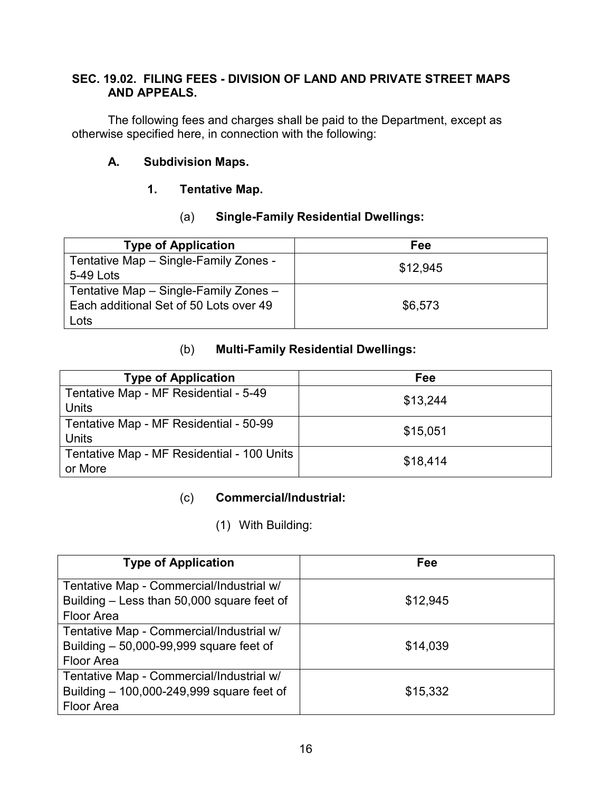### **SEC. 19.02. FILING FEES - DIVISION OF LAND AND PRIVATE STREET MAPS AND APPEALS.**

The following fees and charges shall be paid to the Department, except as otherwise specified here, in connection with the following:

# **A. Subdivision Maps.**

## **1. Tentative Map.**

## (a) **Single-Family Residential Dwellings:**

| <b>Type of Application</b>             | Fee      |
|----------------------------------------|----------|
| Tentative Map - Single-Family Zones -  | \$12.945 |
| 5-49 Lots                              |          |
| Tentative Map - Single-Family Zones -  |          |
| Each additional Set of 50 Lots over 49 | \$6,573  |
| Lots                                   |          |

### (b) **Multi-Family Residential Dwellings:**

| <b>Type of Application</b>                 | Fee      |
|--------------------------------------------|----------|
| Tentative Map - MF Residential - 5-49      | \$13,244 |
| <b>Units</b>                               |          |
| Tentative Map - MF Residential - 50-99     | \$15,051 |
| <b>Units</b>                               |          |
| Tentative Map - MF Residential - 100 Units | \$18,414 |
| or More                                    |          |

### (c) **Commercial/Industrial:**

# (1) With Building:

| <b>Type of Application</b>                 | Fee      |
|--------------------------------------------|----------|
| Tentative Map - Commercial/Industrial w/   |          |
| Building - Less than 50,000 square feet of | \$12,945 |
| <b>Floor Area</b>                          |          |
| Tentative Map - Commercial/Industrial w/   |          |
| Building $-50,000-99,999$ square feet of   | \$14,039 |
| Floor Area                                 |          |
| Tentative Map - Commercial/Industrial w/   |          |
| Building - 100,000-249,999 square feet of  | \$15,332 |
| <b>Floor Area</b>                          |          |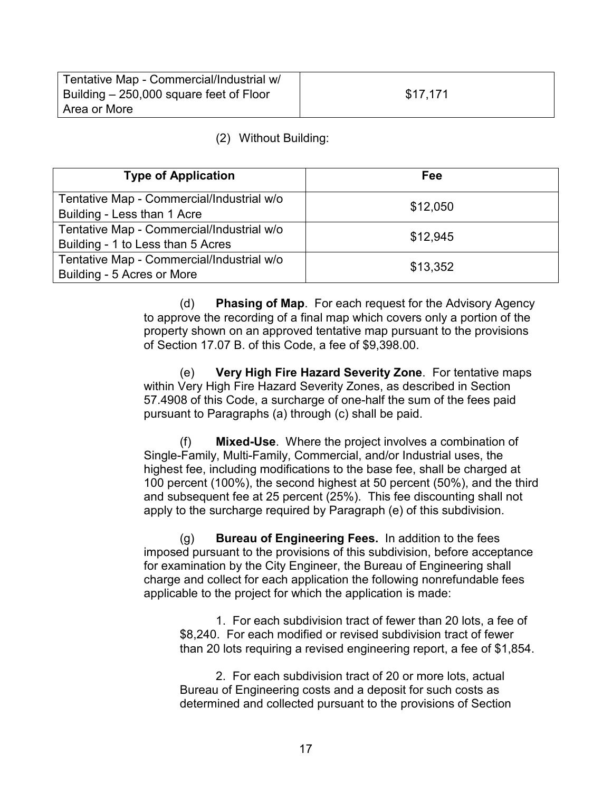| Tentative Map - Commercial/Industrial w/ |          |
|------------------------------------------|----------|
| Building – 250,000 square feet of Floor  | \$17,171 |
| Area or More                             |          |

#### (2) Without Building:

| <b>Type of Application</b>                                                     | Fee      |
|--------------------------------------------------------------------------------|----------|
| Tentative Map - Commercial/Industrial w/o<br>Building - Less than 1 Acre       | \$12,050 |
| Tentative Map - Commercial/Industrial w/o<br>Building - 1 to Less than 5 Acres | \$12,945 |
| Tentative Map - Commercial/Industrial w/o<br>Building - 5 Acres or More        | \$13,352 |

(d) **Phasing of Map**. For each request for the Advisory Agency to approve the recording of a final map which covers only a portion of the property shown on an approved tentative map pursuant to the provisions of Section 17.07 B. of this Code, a fee of \$9,398.00.

(e) **Very High Fire Hazard Severity Zone**. For tentative maps within Very High Fire Hazard Severity Zones, as described in Section 57.4908 of this Code, a surcharge of one-half the sum of the fees paid pursuant to Paragraphs (a) through (c) shall be paid.

(f) **Mixed-Use**. Where the project involves a combination of Single-Family, Multi-Family, Commercial, and/or Industrial uses, the highest fee, including modifications to the base fee, shall be charged at 100 percent (100%), the second highest at 50 percent (50%), and the third and subsequent fee at 25 percent (25%). This fee discounting shall not apply to the surcharge required by Paragraph (e) of this subdivision.

(g) **Bureau of Engineering Fees.** In addition to the fees imposed pursuant to the provisions of this subdivision, before acceptance for examination by the City Engineer, the Bureau of Engineering shall charge and collect for each application the following nonrefundable fees applicable to the project for which the application is made:

1. For each subdivision tract of fewer than 20 lots, a fee of \$8,240. For each modified or revised subdivision tract of fewer than 20 lots requiring a revised engineering report, a fee of \$1,854.

2. For each subdivision tract of 20 or more lots, actual Bureau of Engineering costs and a deposit for such costs as determined and collected pursuant to the provisions of Section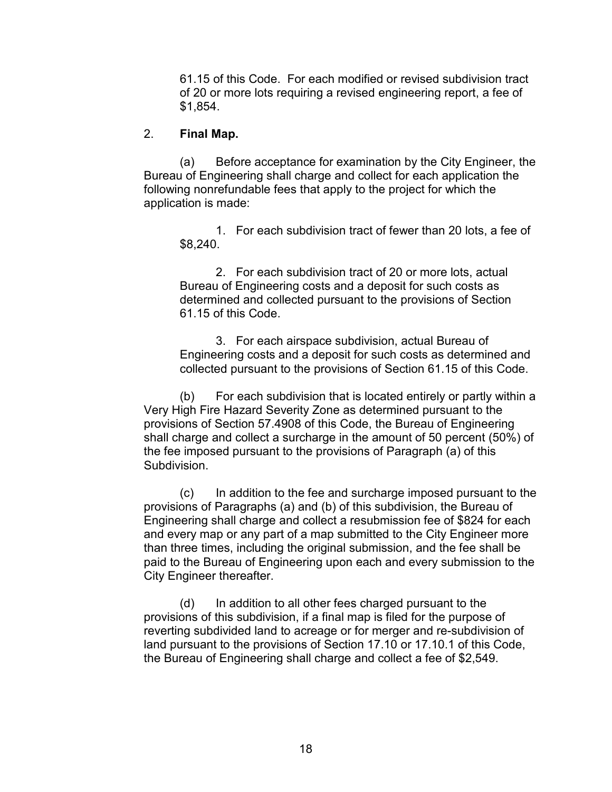61.15 of this Code. For each modified or revised subdivision tract of 20 or more lots requiring a revised engineering report, a fee of \$1,854.

#### 2. **Final Map.**

 (a) Before acceptance for examination by the City Engineer, the Bureau of Engineering shall charge and collect for each application the following nonrefundable fees that apply to the project for which the application is made:

 1. For each subdivision tract of fewer than 20 lots, a fee of \$8,240.

 2. For each subdivision tract of 20 or more lots, actual Bureau of Engineering costs and a deposit for such costs as determined and collected pursuant to the provisions of Section 61.15 of this Code.

 3. For each airspace subdivision, actual Bureau of Engineering costs and a deposit for such costs as determined and collected pursuant to the provisions of Section 61.15 of this Code.

(b) For each subdivision that is located entirely or partly within a Very High Fire Hazard Severity Zone as determined pursuant to the provisions of Section 57.4908 of this Code, the Bureau of Engineering shall charge and collect a surcharge in the amount of 50 percent (50%) of the fee imposed pursuant to the provisions of Paragraph (a) of this Subdivision.

(c) In addition to the fee and surcharge imposed pursuant to the provisions of Paragraphs (a) and (b) of this subdivision, the Bureau of Engineering shall charge and collect a resubmission fee of \$824 for each and every map or any part of a map submitted to the City Engineer more than three times, including the original submission, and the fee shall be paid to the Bureau of Engineering upon each and every submission to the City Engineer thereafter.

 (d) In addition to all other fees charged pursuant to the provisions of this subdivision, if a final map is filed for the purpose of reverting subdivided land to acreage or for merger and re-subdivision of land pursuant to the provisions of Section 17.10 or 17.10.1 of this Code, the Bureau of Engineering shall charge and collect a fee of \$2,549.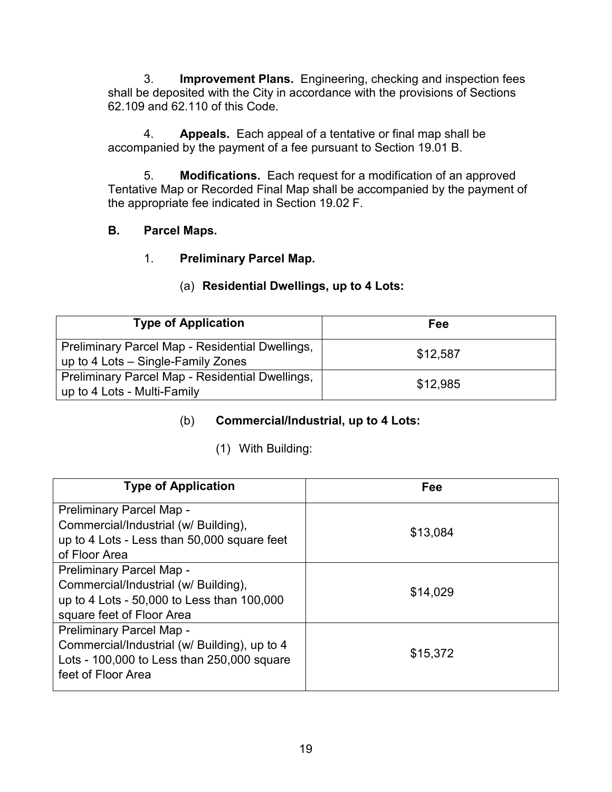3. **Improvement Plans.** Engineering, checking and inspection fees shall be deposited with the City in accordance with the provisions of Sections 62.109 and 62.110 of this Code.

4. **Appeals.** Each appeal of a tentative or final map shall be accompanied by the payment of a fee pursuant to Section 19.01 B.

5. **Modifications.** Each request for a modification of an approved Tentative Map or Recorded Final Map shall be accompanied by the payment of the appropriate fee indicated in Section 19.02 F.

## **B. Parcel Maps.**

## 1. **Preliminary Parcel Map.**

## (a) **Residential Dwellings, up to 4 Lots:**

| <b>Type of Application</b>                                                            | Fee      |
|---------------------------------------------------------------------------------------|----------|
| Preliminary Parcel Map - Residential Dwellings,<br>up to 4 Lots – Single-Family Zones | \$12,587 |
| Preliminary Parcel Map - Residential Dwellings,<br>up to 4 Lots - Multi-Family        | \$12,985 |

# (b) **Commercial/Industrial, up to 4 Lots:**

# (1) With Building:

| <b>Type of Application</b>                                                                                                                   | Fee      |
|----------------------------------------------------------------------------------------------------------------------------------------------|----------|
| Preliminary Parcel Map -<br>Commercial/Industrial (w/ Building),<br>up to 4 Lots - Less than 50,000 square feet<br>of Floor Area             | \$13,084 |
| Preliminary Parcel Map -<br>Commercial/Industrial (w/ Building),<br>up to 4 Lots - 50,000 to Less than 100,000<br>square feet of Floor Area  | \$14,029 |
| Preliminary Parcel Map -<br>Commercial/Industrial (w/ Building), up to 4<br>Lots - 100,000 to Less than 250,000 square<br>feet of Floor Area | \$15,372 |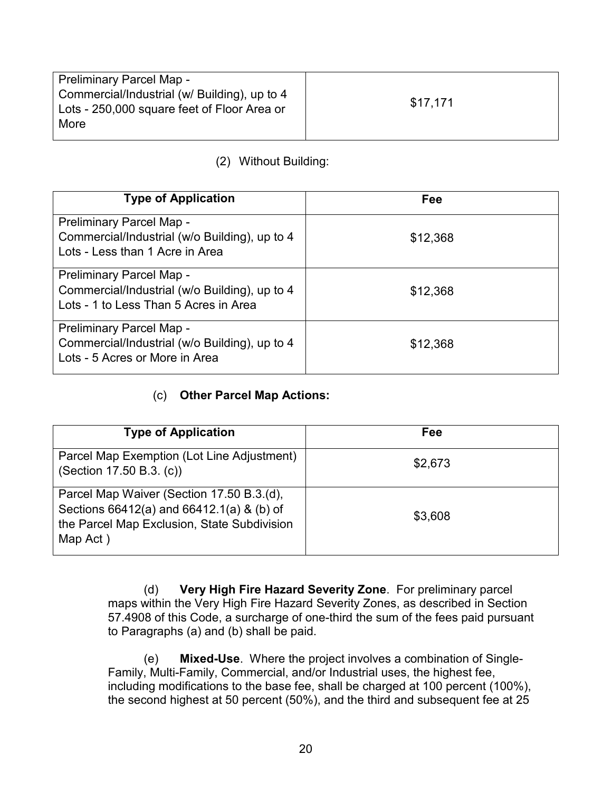| <b>Preliminary Parcel Map -</b>                                                                     |          |
|-----------------------------------------------------------------------------------------------------|----------|
| Commercial/Industrial (w/ Building), up to 4<br>Lots - 250,000 square feet of Floor Area or<br>More | \$17.171 |

# (2) Without Building:

| <b>Type of Application</b>                                                                                         | Fee      |
|--------------------------------------------------------------------------------------------------------------------|----------|
| Preliminary Parcel Map -<br>Commercial/Industrial (w/o Building), up to 4<br>Lots - Less than 1 Acre in Area       | \$12,368 |
| Preliminary Parcel Map -<br>Commercial/Industrial (w/o Building), up to 4<br>Lots - 1 to Less Than 5 Acres in Area | \$12,368 |
| <b>Preliminary Parcel Map -</b><br>Commercial/Industrial (w/o Building), up to 4<br>Lots - 5 Acres or More in Area | \$12,368 |

### (c) **Other Parcel Map Actions:**

| <b>Type of Application</b>                                                                                                                        | Fee     |
|---------------------------------------------------------------------------------------------------------------------------------------------------|---------|
| Parcel Map Exemption (Lot Line Adjustment)<br>(Section 17.50 B.3. (c))                                                                            | \$2,673 |
| Parcel Map Waiver (Section 17.50 B.3.(d),<br>Sections 66412(a) and 66412.1(a) & (b) of<br>the Parcel Map Exclusion, State Subdivision<br>Map Act) | \$3,608 |

(d) **Very High Fire Hazard Severity Zone**. For preliminary parcel maps within the Very High Fire Hazard Severity Zones, as described in Section 57.4908 of this Code, a surcharge of one-third the sum of the fees paid pursuant to Paragraphs (a) and (b) shall be paid.

(e) **Mixed-Use**. Where the project involves a combination of Single-Family, Multi-Family, Commercial, and/or Industrial uses, the highest fee, including modifications to the base fee, shall be charged at 100 percent (100%), the second highest at 50 percent (50%), and the third and subsequent fee at 25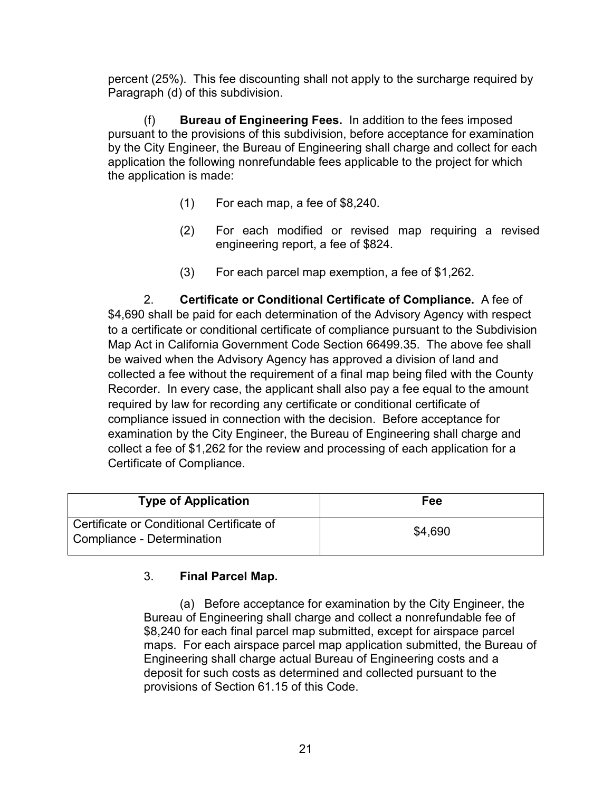percent (25%). This fee discounting shall not apply to the surcharge required by Paragraph (d) of this subdivision.

(f) **Bureau of Engineering Fees.** In addition to the fees imposed pursuant to the provisions of this subdivision, before acceptance for examination by the City Engineer, the Bureau of Engineering shall charge and collect for each application the following nonrefundable fees applicable to the project for which the application is made:

- (1) For each map, a fee of \$8,240.
- (2) For each modified or revised map requiring a revised engineering report, a fee of \$824.
- (3) For each parcel map exemption, a fee of \$1,262.

2. **Certificate or Conditional Certificate of Compliance.** A fee of \$4,690 shall be paid for each determination of the Advisory Agency with respect to a certificate or conditional certificate of compliance pursuant to the Subdivision Map Act in California Government Code Section 66499.35. The above fee shall be waived when the Advisory Agency has approved a division of land and collected a fee without the requirement of a final map being filed with the County Recorder. In every case, the applicant shall also pay a fee equal to the amount required by law for recording any certificate or conditional certificate of compliance issued in connection with the decision. Before acceptance for examination by the City Engineer, the Bureau of Engineering shall charge and collect a fee of \$1,262 for the review and processing of each application for a Certificate of Compliance.

| <b>Type of Application</b>                                              | Fee     |
|-------------------------------------------------------------------------|---------|
| Certificate or Conditional Certificate of<br>Compliance - Determination | \$4,690 |

### 3. **Final Parcel Map.**

(a) Before acceptance for examination by the City Engineer, the Bureau of Engineering shall charge and collect a nonrefundable fee of \$8,240 for each final parcel map submitted, except for airspace parcel maps. For each airspace parcel map application submitted, the Bureau of Engineering shall charge actual Bureau of Engineering costs and a deposit for such costs as determined and collected pursuant to the provisions of Section 61.15 of this Code.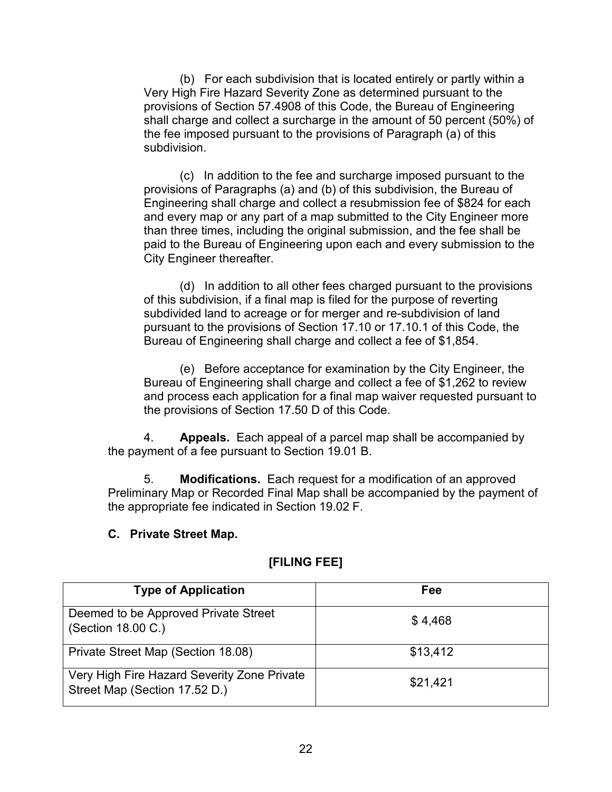(b) For each subdivision that is located entirely or partly within a Very High Fire Hazard Severity Zone as determined pursuant to the provisions of Section 57.4908 of this Code, the Bureau of Engineering shall charge and collect a surcharge in the amount of 50 percent (50%) of the fee imposed pursuant to the provisions of Paragraph (a) of this subdivision.

 (c) In addition to the fee and surcharge imposed pursuant to the provisions of Paragraphs (a) and (b) of this subdivision, the Bureau of Engineering shall charge and collect a resubmission fee of \$824 for each and every map or any part of a map submitted to the City Engineer more than three times, including the original submission, and the fee shall be paid to the Bureau of Engineering upon each and every submission to the City Engineer thereafter.

(d) In addition to all other fees charged pursuant to the provisions of this subdivision, if a final map is filed for the purpose of reverting subdivided land to acreage or for merger and re-subdivision of land pursuant to the provisions of Section 17.10 or 17.10.1 of this Code, the Bureau of Engineering shall charge and collect a fee of \$1,854.

(e) Before acceptance for examination by the City Engineer, the Bureau of Engineering shall charge and collect a fee of \$1,262 to review and process each application for a final map waiver requested pursuant to the provisions of Section 17.50 D of this Code.

4. **Appeals.** Each appeal of a parcel map shall be accompanied by the payment of a fee pursuant to Section 19.01 B.

5. **Modifications.** Each request for a modification of an approved Preliminary Map or Recorded Final Map shall be accompanied by the payment of the appropriate fee indicated in Section 19.02 F.

#### **C. Private Street Map.**

| <b>Type of Application</b>                                                   | Fee      |
|------------------------------------------------------------------------------|----------|
| Deemed to be Approved Private Street<br>(Section 18.00 C.)                   | \$4,468  |
| Private Street Map (Section 18.08)                                           | \$13,412 |
| Very High Fire Hazard Severity Zone Private<br>Street Map (Section 17.52 D.) | \$21,421 |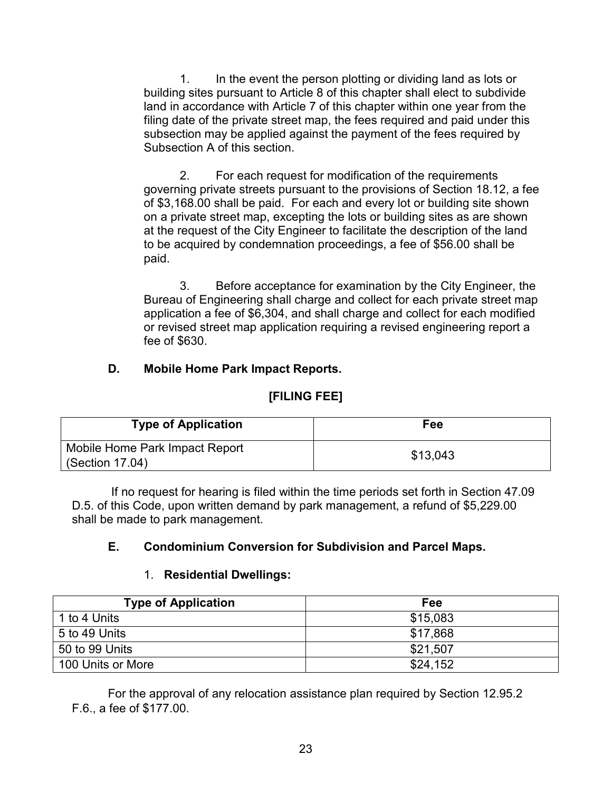1. In the event the person plotting or dividing land as lots or building sites pursuant to Article 8 of this chapter shall elect to subdivide land in accordance with Article 7 of this chapter within one year from the filing date of the private street map, the fees required and paid under this subsection may be applied against the payment of the fees required by Subsection A of this section.

2. For each request for modification of the requirements governing private streets pursuant to the provisions of Section 18.12, a fee of \$3,168.00 shall be paid. For each and every lot or building site shown on a private street map, excepting the lots or building sites as are shown at the request of the City Engineer to facilitate the description of the land to be acquired by condemnation proceedings, a fee of \$56.00 shall be paid.

3. Before acceptance for examination by the City Engineer, the Bureau of Engineering shall charge and collect for each private street map application a fee of \$6,304, and shall charge and collect for each modified or revised street map application requiring a revised engineering report a fee of \$630.

## **D. Mobile Home Park Impact Reports.**

# **[FILING FEE]**

| <b>Type of Application</b>                        | Fee      |
|---------------------------------------------------|----------|
| Mobile Home Park Impact Report<br>(Section 17.04) | \$13,043 |

If no request for hearing is filed within the time periods set forth in Section 47.09 D.5. of this Code, upon written demand by park management, a refund of \$5,229.00 shall be made to park management.

# **E. Condominium Conversion for Subdivision and Parcel Maps.**

### 1. **Residential Dwellings:**

| <b>Type of Application</b> | Fee      |
|----------------------------|----------|
| 1 to 4 Units               | \$15,083 |
| 5 to 49 Units              | \$17,868 |
| 50 to 99 Units             | \$21,507 |
| 100 Units or More          | \$24,152 |

For the approval of any relocation assistance plan required by Section 12.95.2 F.6., a fee of \$177.00.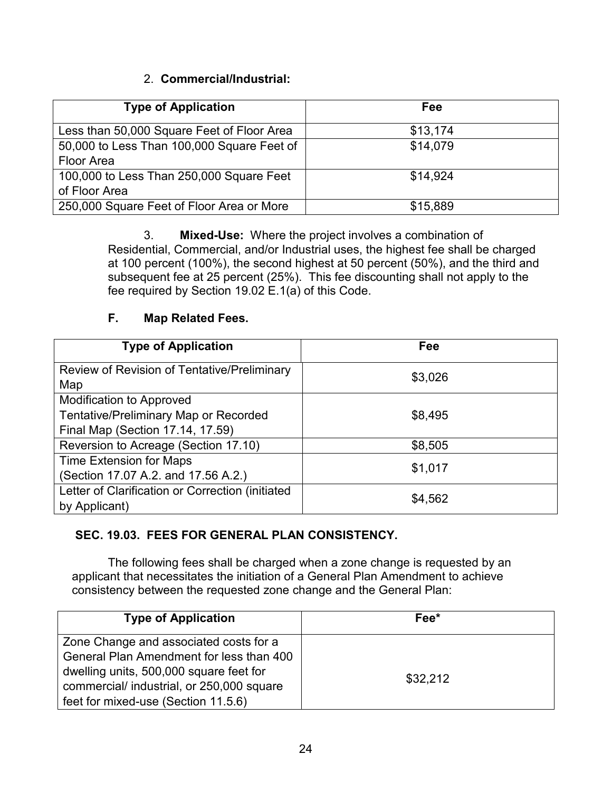## 2. **Commercial/Industrial:**

| <b>Type of Application</b>                 | Fee      |
|--------------------------------------------|----------|
| Less than 50,000 Square Feet of Floor Area | \$13,174 |
| 50,000 to Less Than 100,000 Square Feet of | \$14,079 |
| Floor Area                                 |          |
| 100,000 to Less Than 250,000 Square Feet   | \$14.924 |
| of Floor Area                              |          |
| 250,000 Square Feet of Floor Area or More  | \$15,889 |

3. **Mixed-Use:** Where the project involves a combination of Residential, Commercial, and/or Industrial uses, the highest fee shall be charged at 100 percent (100%), the second highest at 50 percent (50%), and the third and subsequent fee at 25 percent (25%). This fee discounting shall not apply to the fee required by Section 19.02 E.1(a) of this Code.

### **F. Map Related Fees.**

| <b>Type of Application</b>                                                                                          | Fee     |
|---------------------------------------------------------------------------------------------------------------------|---------|
| Review of Revision of Tentative/Preliminary<br>Map                                                                  | \$3,026 |
| <b>Modification to Approved</b><br><b>Tentative/Preliminary Map or Recorded</b><br>Final Map (Section 17.14, 17.59) | \$8,495 |
| Reversion to Acreage (Section 17.10)                                                                                | \$8,505 |
| <b>Time Extension for Maps</b><br>(Section 17.07 A.2. and 17.56 A.2.)                                               | \$1,017 |
| Letter of Clarification or Correction (initiated<br>by Applicant)                                                   | \$4,562 |

# **SEC. 19.03. FEES FOR GENERAL PLAN CONSISTENCY.**

The following fees shall be charged when a zone change is requested by an applicant that necessitates the initiation of a General Plan Amendment to achieve consistency between the requested zone change and the General Plan:

| <b>Type of Application</b>                                                                                                                                                 | Fee*     |
|----------------------------------------------------------------------------------------------------------------------------------------------------------------------------|----------|
| Zone Change and associated costs for a<br>General Plan Amendment for less than 400<br>dwelling units, 500,000 square feet for<br>commercial/ industrial, or 250,000 square | \$32,212 |
| feet for mixed-use (Section 11.5.6)                                                                                                                                        |          |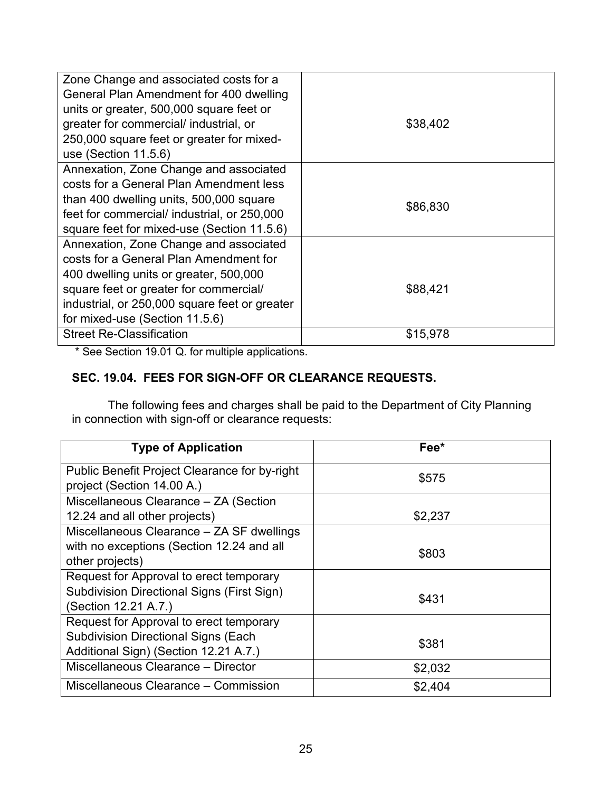| \$86,830 |          |
|----------|----------|
| \$88,421 |          |
|          | \$15,978 |

\* See Section 19.01 Q. for multiple applications.

## **SEC. 19.04. FEES FOR SIGN-OFF OR CLEARANCE REQUESTS.**

The following fees and charges shall be paid to the Department of City Planning in connection with sign-off or clearance requests:

| <b>Type of Application</b>                                                                                                     | Fee*    |
|--------------------------------------------------------------------------------------------------------------------------------|---------|
| Public Benefit Project Clearance for by-right<br>project (Section 14.00 A.)                                                    | \$575   |
| Miscellaneous Clearance - ZA (Section                                                                                          |         |
| 12.24 and all other projects)<br>Miscellaneous Clearance - ZA SF dwellings                                                     | \$2,237 |
| with no exceptions (Section 12.24 and all<br>other projects)                                                                   | \$803   |
| Request for Approval to erect temporary<br><b>Subdivision Directional Signs (First Sign)</b><br>(Section 12.21 A.7.)           | \$431   |
| Request for Approval to erect temporary<br><b>Subdivision Directional Signs (Each</b><br>Additional Sign) (Section 12.21 A.7.) | \$381   |
| Miscellaneous Clearance - Director                                                                                             | \$2,032 |
| Miscellaneous Clearance – Commission                                                                                           | \$2,404 |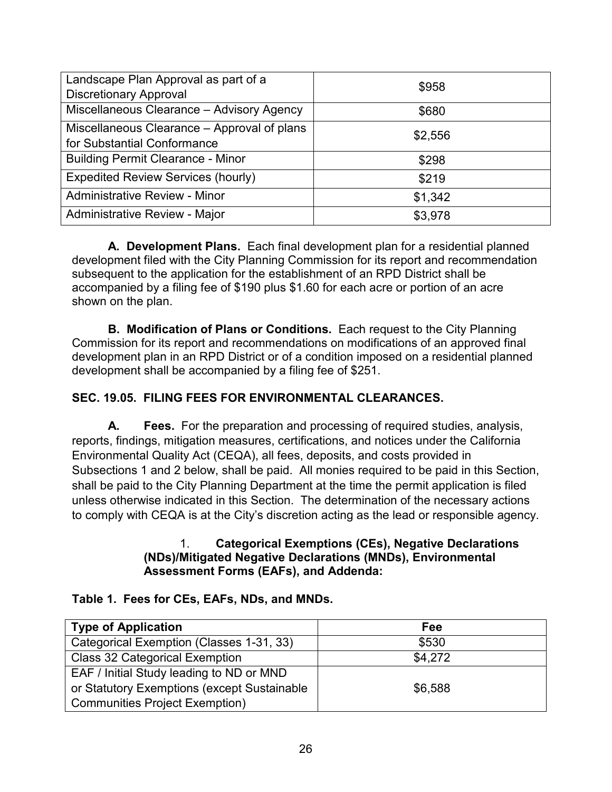| Landscape Plan Approval as part of a<br><b>Discretionary Approval</b>      | \$958   |
|----------------------------------------------------------------------------|---------|
| Miscellaneous Clearance - Advisory Agency                                  | \$680   |
| Miscellaneous Clearance - Approval of plans<br>for Substantial Conformance | \$2,556 |
| <b>Building Permit Clearance - Minor</b>                                   | \$298   |
| <b>Expedited Review Services (hourly)</b>                                  | \$219   |
| <b>Administrative Review - Minor</b>                                       | \$1,342 |
| Administrative Review - Major                                              | \$3,978 |

**A. Development Plans.** Each final development plan for a residential planned development filed with the City Planning Commission for its report and recommendation subsequent to the application for the establishment of an RPD District shall be accompanied by a filing fee of \$190 plus \$1.60 for each acre or portion of an acre shown on the plan.

**B. Modification of Plans or Conditions.** Each request to the City Planning Commission for its report and recommendations on modifications of an approved final development plan in an RPD District or of a condition imposed on a residential planned development shall be accompanied by a filing fee of \$251.

# **SEC. 19.05. FILING FEES FOR ENVIRONMENTAL CLEARANCES.**

**A. Fees.** For the preparation and processing of required studies, analysis, reports, findings, mitigation measures, certifications, and notices under the California Environmental Quality Act (CEQA), all fees, deposits, and costs provided in Subsections 1 and 2 below, shall be paid. All monies required to be paid in this Section, shall be paid to the City Planning Department at the time the permit application is filed unless otherwise indicated in this Section. The determination of the necessary actions to comply with CEQA is at the City's discretion acting as the lead or responsible agency.

#### 1. **Categorical Exemptions (CEs), Negative Declarations (NDs)/Mitigated Negative Declarations (MNDs), Environmental Assessment Forms (EAFs), and Addenda:**

### **Table 1. Fees for CEs, EAFs, NDs, and MNDs.**

| <b>Type of Application</b>                  | Fee     |
|---------------------------------------------|---------|
| Categorical Exemption (Classes 1-31, 33)    | \$530   |
| <b>Class 32 Categorical Exemption</b>       | \$4.272 |
| EAF / Initial Study leading to ND or MND    |         |
| or Statutory Exemptions (except Sustainable | \$6,588 |
| <b>Communities Project Exemption)</b>       |         |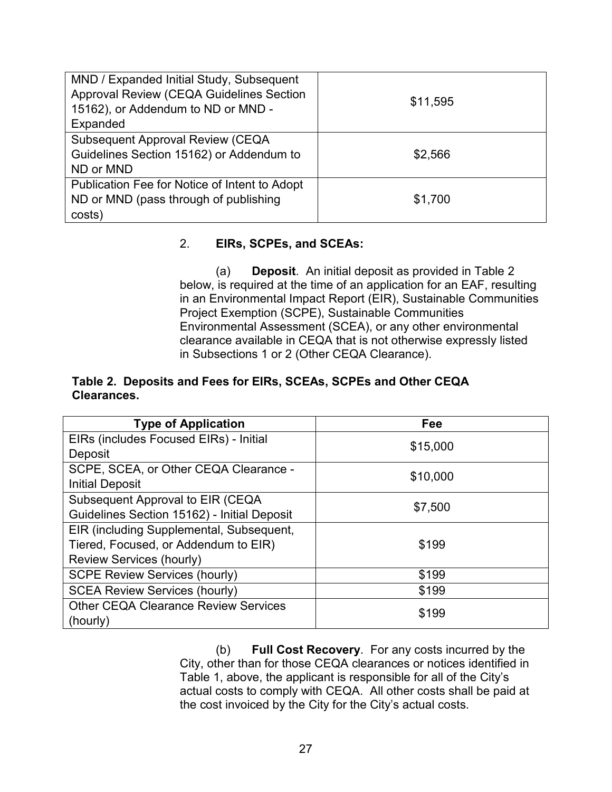| MND / Expanded Initial Study, Subsequent<br>Approval Review (CEQA Guidelines Section |          |
|--------------------------------------------------------------------------------------|----------|
| 15162), or Addendum to ND or MND -                                                   | \$11,595 |
| Expanded                                                                             |          |
| <b>Subsequent Approval Review (CEQA)</b>                                             |          |
| Guidelines Section 15162) or Addendum to                                             | \$2,566  |
| ND or MND                                                                            |          |
| Publication Fee for Notice of Intent to Adopt                                        |          |
| ND or MND (pass through of publishing                                                | \$1,700  |
| costs)                                                                               |          |

### 2. **EIRs, SCPEs, and SCEAs:**

(a) **Deposit**. An initial deposit as provided in Table 2 below, is required at the time of an application for an EAF, resulting in an Environmental Impact Report (EIR), Sustainable Communities Project Exemption (SCPE), Sustainable Communities Environmental Assessment (SCEA), or any other environmental clearance available in CEQA that is not otherwise expressly listed in Subsections 1 or 2 (Other CEQA Clearance).

#### **Table 2. Deposits and Fees for EIRs, SCEAs, SCPEs and Other CEQA Clearances.**

| <b>Type of Application</b>                  | Fee      |
|---------------------------------------------|----------|
| EIRs (includes Focused EIRs) - Initial      | \$15,000 |
| Deposit                                     |          |
| SCPE, SCEA, or Other CEQA Clearance -       | \$10,000 |
| <b>Initial Deposit</b>                      |          |
| Subsequent Approval to EIR (CEQA            | \$7,500  |
| Guidelines Section 15162) - Initial Deposit |          |
| EIR (including Supplemental, Subsequent,    |          |
| Tiered, Focused, or Addendum to EIR)        | \$199    |
| <b>Review Services (hourly)</b>             |          |
| <b>SCPE Review Services (hourly)</b>        | \$199    |
| <b>SCEA Review Services (hourly)</b>        | \$199    |
| <b>Other CEQA Clearance Review Services</b> | \$199    |
| (hourly)                                    |          |

(b) **Full Cost Recovery**. For any costs incurred by the City, other than for those CEQA clearances or notices identified in Table 1, above, the applicant is responsible for all of the City's actual costs to comply with CEQA. All other costs shall be paid at the cost invoiced by the City for the City's actual costs.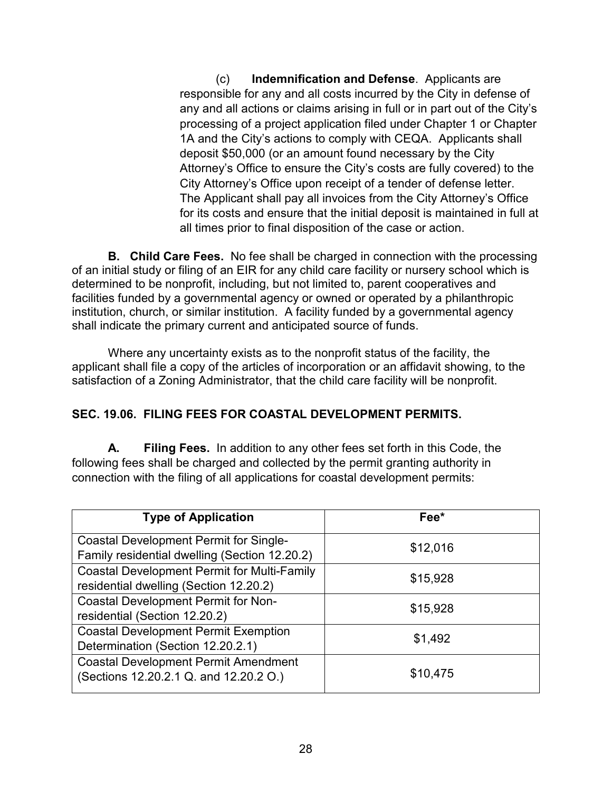(c) **Indemnification and Defense**. Applicants are responsible for any and all costs incurred by the City in defense of any and all actions or claims arising in full or in part out of the City's processing of a project application filed under Chapter 1 or Chapter 1A and the City's actions to comply with CEQA. Applicants shall deposit \$50,000 (or an amount found necessary by the City Attorney's Office to ensure the City's costs are fully covered) to the City Attorney's Office upon receipt of a tender of defense letter. The Applicant shall pay all invoices from the City Attorney's Office for its costs and ensure that the initial deposit is maintained in full at all times prior to final disposition of the case or action.

**B. Child Care Fees.** No fee shall be charged in connection with the processing of an initial study or filing of an EIR for any child care facility or nursery school which is determined to be nonprofit, including, but not limited to, parent cooperatives and facilities funded by a governmental agency or owned or operated by a philanthropic institution, church, or similar institution. A facility funded by a governmental agency shall indicate the primary current and anticipated source of funds.

Where any uncertainty exists as to the nonprofit status of the facility, the applicant shall file a copy of the articles of incorporation or an affidavit showing, to the satisfaction of a Zoning Administrator, that the child care facility will be nonprofit.

# **SEC. 19.06. FILING FEES FOR COASTAL DEVELOPMENT PERMITS.**

**A. Filing Fees.** In addition to any other fees set forth in this Code, the following fees shall be charged and collected by the permit granting authority in connection with the filing of all applications for coastal development permits:

| <b>Type of Application</b>                         | Fee*     |
|----------------------------------------------------|----------|
| <b>Coastal Development Permit for Single-</b>      | \$12,016 |
| Family residential dwelling (Section 12.20.2)      |          |
| <b>Coastal Development Permit for Multi-Family</b> | \$15,928 |
| residential dwelling (Section 12.20.2)             |          |
| <b>Coastal Development Permit for Non-</b>         | \$15,928 |
| residential (Section 12.20.2)                      |          |
| <b>Coastal Development Permit Exemption</b>        | \$1,492  |
| Determination (Section 12.20.2.1)                  |          |
| <b>Coastal Development Permit Amendment</b>        |          |
| (Sections 12.20.2.1 Q. and 12.20.2 O.)             | \$10,475 |
|                                                    |          |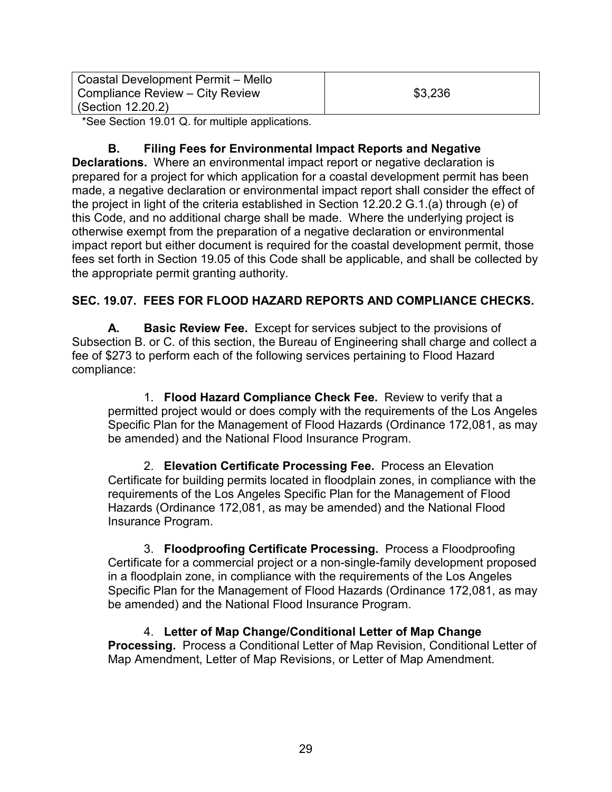| Coastal Development Permit – Mello |         |
|------------------------------------|---------|
| Compliance Review – City Review    | \$3,236 |
| (Section 12.20.2)                  |         |

\*See Section 19.01 Q. for multiple applications.

### **B. Filing Fees for Environmental Impact Reports and Negative**

**Declarations.** Where an environmental impact report or negative declaration is prepared for a project for which application for a coastal development permit has been made, a negative declaration or environmental impact report shall consider the effect of the project in light of the criteria established in Section 12.20.2 G.1.(a) through (e) of this Code, and no additional charge shall be made. Where the underlying project is otherwise exempt from the preparation of a negative declaration or environmental impact report but either document is required for the coastal development permit, those fees set forth in Section 19.05 of this Code shall be applicable, and shall be collected by the appropriate permit granting authority.

### **SEC. 19.07. FEES FOR FLOOD HAZARD REPORTS AND COMPLIANCE CHECKS.**

**A. Basic Review Fee.** Except for services subject to the provisions of Subsection B. or C. of this section, the Bureau of Engineering shall charge and collect a fee of \$273 to perform each of the following services pertaining to Flood Hazard compliance:

1. **Flood Hazard Compliance Check Fee.** Review to verify that a permitted project would or does comply with the requirements of the Los Angeles Specific Plan for the Management of Flood Hazards (Ordinance 172,081, as may be amended) and the National Flood Insurance Program.

2. **Elevation Certificate Processing Fee.** Process an Elevation Certificate for building permits located in floodplain zones, in compliance with the requirements of the Los Angeles Specific Plan for the Management of Flood Hazards (Ordinance 172,081, as may be amended) and the National Flood Insurance Program.

3. **Floodproofing Certificate Processing.** Process a Floodproofing Certificate for a commercial project or a non-single-family development proposed in a floodplain zone, in compliance with the requirements of the Los Angeles Specific Plan for the Management of Flood Hazards (Ordinance 172,081, as may be amended) and the National Flood Insurance Program.

4. **Letter of Map Change/Conditional Letter of Map Change Processing.** Process a Conditional Letter of Map Revision, Conditional Letter of Map Amendment, Letter of Map Revisions, or Letter of Map Amendment.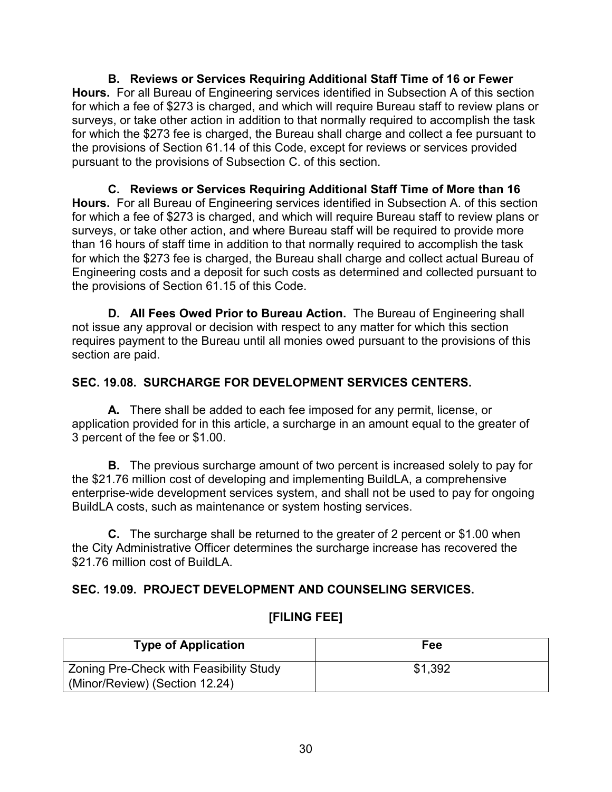**B. Reviews or Services Requiring Additional Staff Time of 16 or Fewer Hours.** For all Bureau of Engineering services identified in Subsection A of this section for which a fee of \$273 is charged, and which will require Bureau staff to review plans or surveys, or take other action in addition to that normally required to accomplish the task for which the \$273 fee is charged, the Bureau shall charge and collect a fee pursuant to the provisions of Section 61.14 of this Code, except for reviews or services provided pursuant to the provisions of Subsection C. of this section.

**C. Reviews or Services Requiring Additional Staff Time of More than 16 Hours.** For all Bureau of Engineering services identified in Subsection A. of this section for which a fee of \$273 is charged, and which will require Bureau staff to review plans or surveys, or take other action, and where Bureau staff will be required to provide more than 16 hours of staff time in addition to that normally required to accomplish the task for which the \$273 fee is charged, the Bureau shall charge and collect actual Bureau of Engineering costs and a deposit for such costs as determined and collected pursuant to the provisions of Section 61.15 of this Code.

**D. All Fees Owed Prior to Bureau Action.** The Bureau of Engineering shall not issue any approval or decision with respect to any matter for which this section requires payment to the Bureau until all monies owed pursuant to the provisions of this section are paid.

## **SEC. 19.08. SURCHARGE FOR DEVELOPMENT SERVICES CENTERS.**

**A.** There shall be added to each fee imposed for any permit, license, or application provided for in this article, a surcharge in an amount equal to the greater of 3 percent of the fee or \$1.00.

**B.** The previous surcharge amount of two percent is increased solely to pay for the \$21.76 million cost of developing and implementing BuildLA, a comprehensive enterprise-wide development services system, and shall not be used to pay for ongoing BuildLA costs, such as maintenance or system hosting services.

**C.** The surcharge shall be returned to the greater of 2 percent or \$1.00 when the City Administrative Officer determines the surcharge increase has recovered the \$21.76 million cost of BuildLA.

# **SEC. 19.09. PROJECT DEVELOPMENT AND COUNSELING SERVICES.**

| <b>Type of Application</b>                     | Fee     |
|------------------------------------------------|---------|
| <b>Zoning Pre-Check with Feasibility Study</b> | \$1,392 |
| (Minor/Review) (Section 12.24)                 |         |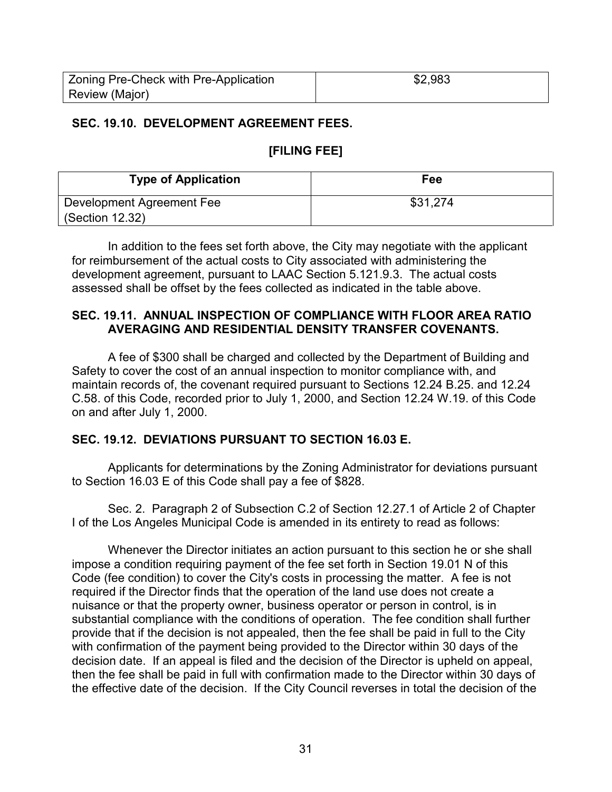| Zoning Pre-Check with Pre-Application | \$2,983 |
|---------------------------------------|---------|
| Review (Major)                        |         |

#### **SEC. 19.10. DEVELOPMENT AGREEMENT FEES.**

### **[FILING FEE]**

| <b>Type of Application</b> | Fee      |
|----------------------------|----------|
| Development Agreement Fee  | \$31,274 |
| $\vert$ (Section 12.32)    |          |

In addition to the fees set forth above, the City may negotiate with the applicant for reimbursement of the actual costs to City associated with administering the development agreement, pursuant to LAAC Section 5.121.9.3. The actual costs assessed shall be offset by the fees collected as indicated in the table above.

#### **SEC. 19.11. ANNUAL INSPECTION OF COMPLIANCE WITH FLOOR AREA RATIO AVERAGING AND RESIDENTIAL DENSITY TRANSFER COVENANTS.**

A fee of \$300 shall be charged and collected by the Department of Building and Safety to cover the cost of an annual inspection to monitor compliance with, and maintain records of, the covenant required pursuant to Sections 12.24 B.25. and 12.24 C.58. of this Code, recorded prior to July 1, 2000, and Section 12.24 W.19. of this Code on and after July 1, 2000.

### **SEC. 19.12. DEVIATIONS PURSUANT TO SECTION 16.03 E.**

Applicants for determinations by the Zoning Administrator for deviations pursuant to Section 16.03 E of this Code shall pay a fee of \$828.

Sec. 2. Paragraph 2 of Subsection C.2 of Section 12.27.1 of Article 2 of Chapter I of the Los Angeles Municipal Code is amended in its entirety to read as follows:

Whenever the Director initiates an action pursuant to this section he or she shall impose a condition requiring payment of the fee set forth in Section 19.01 N of this Code (fee condition) to cover the City's costs in processing the matter. A fee is not required if the Director finds that the operation of the land use does not create a nuisance or that the property owner, business operator or person in control, is in substantial compliance with the conditions of operation. The fee condition shall further provide that if the decision is not appealed, then the fee shall be paid in full to the City with confirmation of the payment being provided to the Director within 30 days of the decision date. If an appeal is filed and the decision of the Director is upheld on appeal, then the fee shall be paid in full with confirmation made to the Director within 30 days of the effective date of the decision. If the City Council reverses in total the decision of the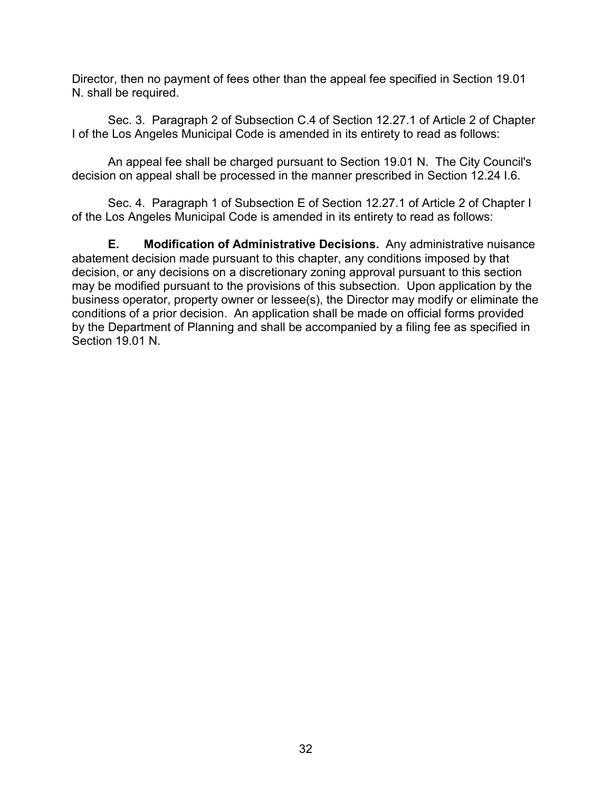Director, then no payment of fees other than the appeal fee specified in Section 19.01 N. shall be required.

Sec. 3. Paragraph 2 of Subsection C.4 of Section 12.27.1 of Article 2 of Chapter I of the Los Angeles Municipal Code is amended in its entirety to read as follows:

An appeal fee shall be charged pursuant to Section 19.01 N. The City Council's decision on appeal shall be processed in the manner prescribed in Section 12.24 I.6.

Sec. 4. Paragraph 1 of Subsection E of Section 12.27.1 of Article 2 of Chapter I of the Los Angeles Municipal Code is amended in its entirety to read as follows:

**E. Modification of Administrative Decisions.** Any administrative nuisance abatement decision made pursuant to this chapter, any conditions imposed by that decision, or any decisions on a discretionary zoning approval pursuant to this section may be modified pursuant to the provisions of this subsection. Upon application by the business operator, property owner or lessee(s), the Director may modify or eliminate the conditions of a prior decision. An application shall be made on official forms provided by the Department of Planning and shall be accompanied by a filing fee as specified in Section 19.01 N.